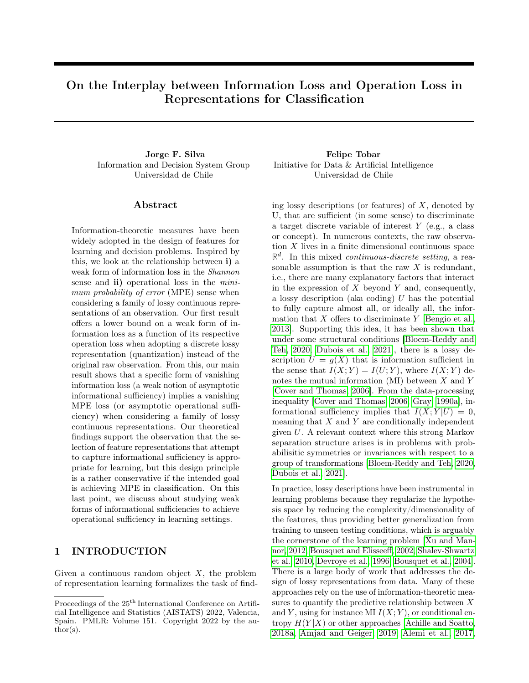# On the Interplay between Information Loss and Operation Loss in Representations for Classification

Information and Decision System Group Universidad de Chile

### ${\rm Abstract}$

Information-theoretic measures have been widely adopted in the design of features for learning and decision problems. Inspired by this, we look at the relationship between i) a weak form of information loss in the Shannon sense and **ii**) operational loss in the *mini*mum probability of error (MPE) sense when considering a family of lossy continuous representations of an observation. Our first result offers a lower bound on a weak form of information loss as a function of its respective operation loss when adopting a discrete lossy representation (quantization) instead of the original raw observation. From this, our main result shows that a specific form of vanishing information loss (a weak notion of asymptotic informational sufficiency) implies a vanishing MPE loss (or asymptotic operational sufficiency) when considering a family of lossy continuous representations. Our theoretical findings support the observation that the selection of feature representations that attempt to capture informational sufficiency is appropriate for learning, but this design principle is a rather conservative if the intended goal is achieving MPE in classification. On this last point, we discuss about studying weak forms of informational sufficiencies to achieve operational sufficiency in learning settings.

### 1 INTRODUCTION

Given a continuous random object  $X$ , the problem of representation learning formalizes the task of find-

Jorge F. Silva Felipe Tobar Initiative for Data & Artificial Intelligence Universidad de Chile

> ing lossy descriptions (or features) of  $X$ , denoted by U, that are sufficient (in some sense) to discriminate a target discrete variable of interest Y (e.g., a class or concept). In numerous contexts, the raw observation  $X$  lives in a finite dimensional continuous space  $\mathbb{R}^d$ . In this mixed *continuous-discrete setting*, a reasonable assumption is that the raw  $X$  is redundant, i.e., there are many explanatory factors that interact in the expression of  $X$  beyond  $Y$  and, consequently, a lossy description (aka coding)  $U$  has the potential to fully capture almost all, or ideally all, the information that  $X$  offers to discriminate  $Y$  [\[Bengio et al.,](#page-8-0) [2013\]](#page-8-0). Supporting this idea, it has been shown that under some structural conditions [\[Bloem-Reddy and](#page-8-1) [Teh, 2020,](#page-8-1) [Dubois et al., 2021\]](#page-8-2), there is a lossy description  $U = g(X)$  that is information sufficient in the sense that  $I(X; Y) = I(U; Y)$ , where  $I(X; Y)$  denotes the mutual information  $(MI)$  between X and Y [\[Cover and Thomas, 2006\]](#page-8-3). From the data-processing inequality [\[Cover and Thomas, 2006,](#page-8-3) [Gray, 1990a\]](#page-9-0), informational sufficiency implies that  $I(X; Y|U) = 0$ , meaning that  $X$  and  $Y$  are conditionally independent given U. A relevant context where this strong Markov separation structure arises is in problems with probabilisitic symmetries or invariances with respect to a group of transformations [\[Bloem-Reddy and Teh, 2020,](#page-8-1) [Dubois et al., 2021\]](#page-8-2).

> In practice, lossy descriptions have been instrumental in learning problems because they regularize the hypothesis space by reducing the complexity/dimensionality of the features, thus providing better generalization from training to unseen testing conditions, which is arguably the cornerstone of the learning problem [\[Xu and Man](#page-9-1)[nor, 2012,](#page-9-1) [Bousquet and Elisseeff, 2002,](#page-8-4) [Shalev-Shwartz](#page-9-2) [et al., 2010,](#page-9-2) [Devroye et al., 1996,](#page-8-5) [Bousquet et al., 2004\]](#page-8-6). There is a large body of work that addresses the design of lossy representations from data. Many of these approaches rely on the use of information-theoretic measures to quantify the predictive relationship between  $X$ and Y, using for instance MI  $I(X; Y)$ , or conditional entropy  $H(Y|X)$  or other approaches [\[Achille and Soatto,](#page-8-7) [2018a,](#page-8-7) [Amjad and Geiger, 2019,](#page-8-8) [Alemi et al., 2017,](#page-8-9)

Proceedings of the  $25<sup>th</sup>$  International Conference on Artificial Intelligence and Statistics (AISTATS) 2022, Valencia, Spain. PMLR: Volume 151. Copyright 2022 by the au- $\text{thor}(s)$ .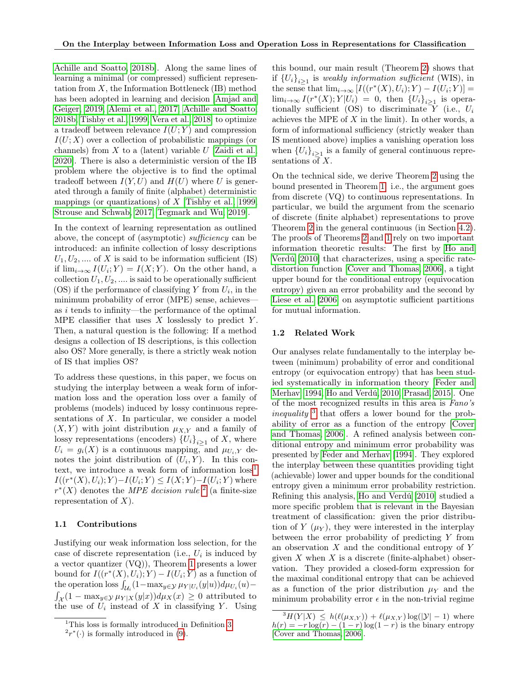[Achille and Soatto, 2018b\]](#page-8-10). Along the same lines of learning a minimal (or compressed) sufficient representation from  $X$ , the Information Bottleneck (IB) method has been adopted in learning and decision [\[Amjad and](#page-8-8) [Geiger, 2019,](#page-8-8) [Alemi et al., 2017,](#page-8-9) [Achille and Soatto,](#page-8-10) [2018b,](#page-8-10) [Tishby et al., 1999,](#page-9-3) [Vera et al., 2018\]](#page-9-4) to optimize a tradeoff between relevance  $I(U;Y)$  and compression  $I(U; X)$  over a collection of probabilistic mappings (or channels) from  $X$  to a (latent) variable  $U$  [\[Zaidi et al.,](#page-9-5) [2020\]](#page-9-5). There is also a deterministic version of the IB problem where the objective is to find the optimal tradeoff between  $I(Y, U)$  and  $H(U)$  where U is generated through a family of finite (alphabet) deterministic mappings (or quantizations) of X [\[Tishby et al., 1999,](#page-9-3) [Strouse and Schwab, 2017,](#page-9-6) [Tegmark and Wu, 2019\]](#page-9-7).

In the context of learning representation as outlined above, the concept of (asymptotic) sufficiency can be introduced: an infinite collection of lossy descriptions  $U_1, U_2, \dots$  of X is said to be information sufficient (IS) if  $\lim_{i\to\infty} I(U_i;Y) = I(X;Y)$ . On the other hand, a collection  $U_1, U_2, \ldots$  is said to be operationally sufficient  $(OS)$  if the performance of classifying Y from  $U_i$ , in the minimum probability of error (MPE) sense, achieves as i tends to infinity—the performance of the optimal MPE classifier that uses  $X$  losslessly to predict Y. Then, a natural question is the following: If a method designs a collection of IS descriptions, is this collection also OS? More generally, is there a strictly weak notion of IS that implies OS?

To address these questions, in this paper, we focus on studying the interplay between a weak form of information loss and the operation loss over a family of problems (models) induced by lossy continuous representations of  $X$ . In particular, we consider a model  $(X, Y)$  with joint distribution  $\mu_{X,Y}$  and a family of lossy representations (encoders)  ${U_i}_{i\geq 1}$  of X, where  $U_i = g_i(X)$  is a continuous mapping, and  $\mu_{U_i,Y}$  denotes the joint distribution of  $(U_i, Y)$ . In this context, we introduce a weak form of information  $loss<sup>1</sup>$  $loss<sup>1</sup>$  $loss<sup>1</sup>$  $I((r^*(X), U_i); Y) - I(U_i; Y) \leq I(X; Y) - I(U_i; Y)$  where  $r^*(X)$  denotes the *MPE decision rule* <sup>[2](#page-1-1)</sup> (a finite-size representation of  $X$ ).

#### 1.1 Contributions

Justifying our weak information loss selection, for the case of discrete representation (i.e.,  $U_i$  is induced by a vector quantizer (VQ)), Theorem [1](#page-4-0) presents a lower bound for  $I((r^*(X), U_i); Y) - I(U_i; Y)$  as a function of the operation loss  $\int_{\mathcal{U}_i} (1 - \max_{y \in \mathcal{Y}} \mu_{Y | U_i}(y | u)) d\mu_{U_i}(u) \int_{\mathcal{X}} (1 - \max_{y \in \mathcal{Y}} \mu_{Y|X}(y|x)) d\mu_X(x) \geq 0$  attributed to the use of  $U_i$  instead of X in classifying Y. Using

this bound, our main result (Theorem [2\)](#page-5-0) shows that if  ${U_i}_{i\geq 1}$  is weakly information sufficient (WIS), in the sense that  $\lim_{i\to\infty} [I((r^*(X), U_i); Y) - I(U_i; Y)] =$  $\lim_{i\to\infty} I(r^*(X); Y|U_i) = 0$ , then  ${U_i}_{i\geq 1}$  is operationally sufficient (OS) to discriminate  $Y$  (i.e.,  $U_i$ achieves the MPE of  $X$  in the limit). In other words, a form of informational sufficiency (strictly weaker than IS mentioned above) implies a vanishing operation loss when  ${U_i}_{i\geq 1}$  is a family of general continuous representations of  $X$ .

On the technical side, we derive Theorem [2](#page-5-0) using the bound presented in Theorem [1:](#page-4-0) i.e., the argument goes from discrete (VQ) to continuous representations. In particular, we build the argument from the scenario of discrete (finite alphabet) representations to prove Theorem [2](#page-5-0) in the general continuous (in Section [4.2\)](#page-5-1). The proofs of Theorems [2](#page-5-0) and [1](#page-4-0) rely on two important information theoretic results: The first by [Ho and](#page-9-8) [Verdú](#page-9-8) [\[2010\]](#page-9-8) that characterizes, using a specific ratedistortion function [\[Cover and Thomas, 2006\]](#page-8-3), a tight upper bound for the conditional entropy (equivocation entropy) given an error probability and the second by [Liese et al.](#page-9-9) [\[2006\]](#page-9-9) on asymptotic sufficient partitions for mutual information.

#### 1.2 Related Work

Our analyses relate fundamentally to the interplay between (minimum) probability of error and conditional entropy (or equivocation entropy) that has been studied systematically in information theory [\[Feder and](#page-9-10) [Merhav, 1994,](#page-9-10) [Ho and Verdú, 2010,](#page-9-8) [Prasad, 2015\]](#page-9-11). One of the most recognized results in this area is Fano's inequality <sup>[3](#page-1-2)</sup> that offers a lower bound for the probability of error as a function of the entropy [\[Cover](#page-8-3) [and Thomas, 2006\]](#page-8-3). A refined analysis between conditional entropy and minimum error probability was presented by [Feder and Merhav](#page-9-10) [\[1994\]](#page-9-10). They explored the interplay between these quantities providing tight (achievable) lower and upper bounds for the conditional entropy given a minimum error probability restriction. Refining this analysis, [Ho and Verdú](#page-9-8) [\[2010\]](#page-9-8) studied a more specific problem that is relevant in the Bayesian treatment of classification: given the prior distribution of  $Y(\mu_Y)$ , they were interested in the interplay between the error probability of predicting Y from an observation  $X$  and the conditional entropy of Y given X when X is a discrete (finite-alphabet) observation. They provided a closed-form expression for the maximal conditional entropy that can be achieved as a function of the prior distribution  $\mu_Y$  and the minimum probability error  $\epsilon$  in the non-trivial regime

<span id="page-1-0"></span> $1$ This loss is formally introduced in Definition [3.](#page-3-0)

<span id="page-1-1"></span> $2r^*(\cdot)$  is formally introduced in [\(9\)](#page-3-1).

<span id="page-1-2"></span> ${}^{3}H(Y|X) \leq h(\ell(\mu_{X,Y})) + \ell(\mu_{X,Y})\log(|\mathcal{Y}|-1)$  where  $h(r) = -r \log(r) - (1 - r) \log(1 - r)$  is the binary entropy [\[Cover and Thomas, 2006\]](#page-8-3).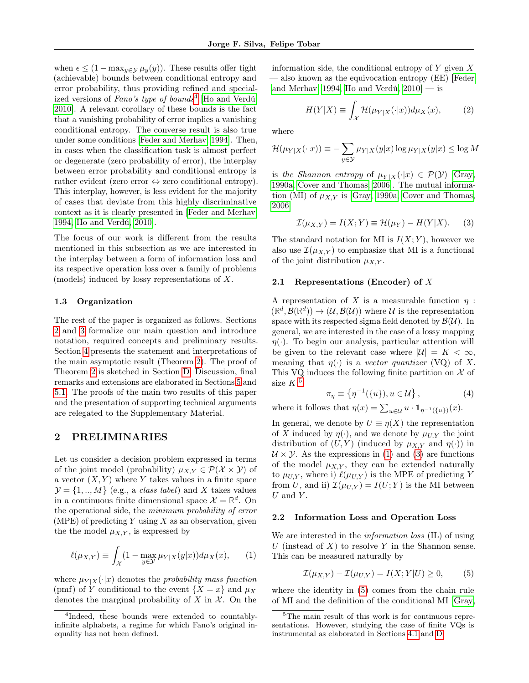when  $\epsilon \leq (1 - \max_{y \in \mathcal{Y}} \mu_y(y))$ . These results offer tight (achievable) bounds between conditional entropy and error probability, thus providing refined and special-ized versions of Fano's type of bounds<sup>[4](#page-2-0)</sup> [\[Ho and Verdú,](#page-9-8) [2010\]](#page-9-8). A relevant corollary of these bounds is the fact that a vanishing probability of error implies a vanishing conditional entropy. The converse result is also true under some conditions [\[Feder and Merhav, 1994\]](#page-9-10). Then, in cases when the classification task is almost perfect or degenerate (zero probability of error), the interplay between error probability and conditional entropy is rather evident (zero error  $\Leftrightarrow$  zero conditional entropy). This interplay, however, is less evident for the majority of cases that deviate from this highly discriminative context as it is clearly presented in [\[Feder and Merhav,](#page-9-10) [1994,](#page-9-10) [Ho and Verdú, 2010\]](#page-9-8).

The focus of our work is different from the results mentioned in this subsection as we are interested in the interplay between a form of information loss and its respective operation loss over a family of problems (models) induced by lossy representations of X.

#### 1.3 Organization

The rest of the paper is organized as follows. Sections [2](#page-2-1) and [3](#page-3-2) formalize our main question and introduce notation, required concepts and preliminary results. Section [4](#page-4-1) presents the statement and interpretations of the main asymptotic result (Theorem [2\)](#page-5-0). The proof of Theorem [2](#page-5-0) is sketched in Section [D.](#page-11-0) Discussion, final remarks and extensions are elaborated in Sections [5](#page-7-0) and [5.1.](#page-7-1) The proofs of the main two results of this paper and the presentation of supporting technical arguments are relegated to the Supplementary Material.

### <span id="page-2-1"></span>2 PRELIMINARIES

Let us consider a decision problem expressed in terms of the joint model (probability)  $\mu_{X,Y} \in \mathcal{P}(\mathcal{X} \times \mathcal{Y})$  of a vector  $(X, Y)$  where Y takes values in a finite space  $\mathcal{Y} = \{1, ..., M\}$  (e.g., a *class label*) and X takes values in a continuous finite dimensional space  $\mathcal{X} = \mathbb{R}^d$ . On the operational side, the minimum probability of error (MPE) of predicting Y using X as an observation, given the the model  $\mu_{X,Y}$ , is expressed by

<span id="page-2-3"></span>
$$
\ell(\mu_{X,Y}) \equiv \int_{\mathcal{X}} (1 - \max_{y \in \mathcal{Y}} \mu_{Y|X}(y|x)) d\mu_X(x), \qquad (1)
$$

where  $\mu_{Y|X}(\cdot|x)$  denotes the probability mass function (pmf) of Y conditional to the event  $\{X = x\}$  and  $\mu_X$ denotes the marginal probability of X in  $\mathcal X$ . On the

information side, the conditional entropy of  $Y$  given  $X$ — also known as the equivocation entropy (EE) [\[Feder](#page-9-10) [and Merhav, 1994,](#page-9-10) Ho and Verdú,  $2010$  — is

$$
H(Y|X) \equiv \int_{\mathcal{X}} \mathcal{H}(\mu_{Y|X}(\cdot|x)) d\mu_X(x), \qquad (2)
$$

where

$$
\mathcal{H}(\mu_{Y|X}(\cdot|x)) \equiv -\sum_{y \in \mathcal{Y}} \mu_{Y|X}(y|x) \log \mu_{Y|X}(y|x) \le \log M
$$

is the Shannon entropy of  $\mu_{Y|X}(\cdot|x) \in \mathcal{P}(Y)$  [\[Gray,](#page-9-0) [1990a,](#page-9-0) [Cover and Thomas, 2006\]](#page-8-3). The mutual information (MI) of  $\mu_{X,Y}$  is [\[Gray, 1990a,](#page-9-0) [Cover and Thomas,](#page-8-3) [2006\]](#page-8-3)

<span id="page-2-4"></span>
$$
\mathcal{I}(\mu_{X,Y}) = I(X;Y) \equiv \mathcal{H}(\mu_Y) - H(Y|X). \tag{3}
$$

The standard notation for MI is  $I(X; Y)$ , however we also use  $\mathcal{I}(\mu_{X,Y})$  to emphasize that MI is a functional of the joint distribution  $\mu_{X,Y}$ .

#### 2.1 Representations (Encoder) of X

A representation of X is a measurable function  $\eta$ :  $(\mathbb{R}^d, \mathcal{B}(\mathbb{R}^d)) \to (\mathcal{U}, \mathcal{B}(\mathcal{U}))$  where  $\mathcal{U}$  is the representation space with its respected sigma field denoted by  $\mathcal{B}(\mathcal{U})$ . In general, we are interested in the case of a lossy mapping  $\eta(\cdot)$ . To begin our analysis, particular attention will be given to the relevant case where  $|\mathcal{U}| = K < \infty$ , meaning that  $\eta(\cdot)$  is a vector quantizer (VQ) of X. This VQ induces the following finite partition on  $\mathcal X$  of size  $K:5$  $K:5$ 

$$
\pi_{\eta} \equiv \left\{ \eta^{-1}(\{u\}), u \in \mathcal{U} \right\},\tag{4}
$$

where it follows that  $\eta(x) = \sum_{u \in \mathcal{U}} u \cdot \mathbf{1}_{\eta^{-1}(\{u\})}(x)$ .

In general, we denote by  $U \equiv \eta(X)$  the representation of X induced by  $\eta(\cdot)$ , and we denote by  $\mu_{U,Y}$  the joint distribution of  $(U, Y)$  (induced by  $\mu_{X,Y}$  and  $\eta(\cdot)$ ) in  $U \times Y$ . As the expressions in [\(1\)](#page-2-3) and [\(3\)](#page-2-4) are functions of the model  $\mu_{X,Y}$ , they can be extended naturally to  $\mu_{U,Y}$ , where i)  $\ell(\mu_{U,Y})$  is the MPE of predicting Y from U, and ii)  $\mathcal{I}(\mu_{U,Y}) = I(U;Y)$  is the MI between  $U$  and  $Y$ .

#### 2.2 Information Loss and Operation Loss

We are interested in the *information loss* (IL) of using U (instead of  $X$ ) to resolve Y in the Shannon sense. This can be measured naturally by

<span id="page-2-5"></span>
$$
\mathcal{I}(\mu_{X,Y}) - \mathcal{I}(\mu_{U,Y}) = I(X;Y|U) \ge 0,\tag{5}
$$

where the identity in [\(5\)](#page-2-5) comes from the chain rule of MI and the definition of the conditional MI [\[Gray,](#page-9-0)

<span id="page-2-0"></span><sup>4</sup> Indeed, these bounds were extended to countablyinfinite alphabets, a regime for which Fano's original inequality has not been defined.

<span id="page-2-2"></span><sup>&</sup>lt;sup>5</sup>The main result of this work is for continuous representations. However, studying the case of finite VQs is instrumental as elaborated in Sections [4.1](#page-4-2) and [D.](#page-11-0)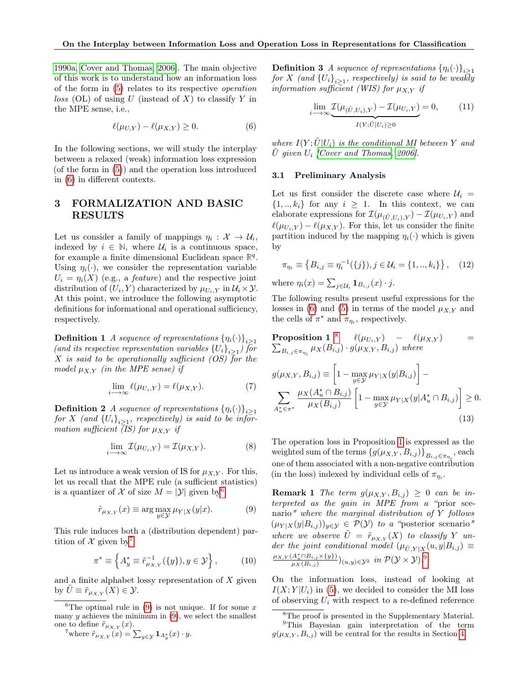[1990a,](#page-9-0) [Cover and Thomas, 2006\]](#page-8-3). The main objective of this work is to understand how an information loss of the form in [\(5\)](#page-2-5) relates to its respective operation  $loss$  (OL) of using U (instead of X) to classify Y in the MPE sense, i.e.,

<span id="page-3-3"></span>
$$
\ell(\mu_{U,Y}) - \ell(\mu_{X,Y}) \ge 0. \tag{6}
$$

In the following sections, we will study the interplay between a relaxed (weak) information loss expression (of the form in [\(5\)](#page-2-5)) and the operation loss introduced in [\(6\)](#page-3-3) in different contexts.

# <span id="page-3-2"></span>3 FORMALIZATION AND BASIC RESULTS

Let us consider a family of mappings  $\eta_i: \mathcal{X} \to \mathcal{U}_i$ , indexed by  $i \in \mathbb{N}$ , where  $\mathcal{U}_i$  is a continuous space, for example a finite dimensional Euclidean space  $\mathbb{R}^q$ . Using  $\eta_i(\cdot)$ , we consider the representation variable  $U_i = \eta_i(X)$  (e.g., a *feature*) and the respective joint distribution of  $(U_i, Y)$  characterized by  $\mu_{U_i, Y}$  in  $\mathcal{U}_i \times \mathcal{Y}$ . At this point, we introduce the following asymptotic definitions for informational and operational sufficiency, respectively.

<span id="page-3-11"></span>**Definition 1** A sequence of representations  $\{\eta_i(\cdot)\}_{i\geq 1}$ (and its respective representation variables  ${U_i}_{i \geq 1}$ ) for X is said to be operationally sufficient (OS) for the model  $\mu_{X,Y}$  (in the MPE sense) if

$$
\lim_{i \to \infty} \ell(\mu_{U_i, Y}) = \ell(\mu_{X, Y}). \tag{7}
$$

<span id="page-3-14"></span>**Definition 2** A sequence of representations  $\{\eta_i(\cdot)\}_{i\geq 1}$  $for\ X\ (and\ \{U_i\}_{i\geq 1},\ respectively)$  is said to be information sufficient (IS) for  $\mu_{X,Y}$  if

$$
\lim_{i \to \infty} \mathcal{I}(\mu_{U_i, Y}) = \mathcal{I}(\mu_{X, Y}). \tag{8}
$$

Let us introduce a weak version of IS for  $\mu_{X,Y}$ . For this, let us recall that the MPE rule (a sufficient statistics) is a quantizer of X of size  $M = |\mathcal{Y}|$  given by <sup>[6](#page-3-4)</sup>

<span id="page-3-1"></span>
$$
\tilde{r}_{\mu_{X,Y}}(x) \equiv \arg\max_{y \in \mathcal{Y}} \mu_{Y|X}(y|x). \tag{9}
$$

This rule induces both a (distribution dependent) partition of  $\mathcal X$  given by<sup>[7](#page-3-5)</sup>

<span id="page-3-13"></span><span id="page-3-0"></span>
$$
\pi^* \equiv \left\{ A_y^* \equiv \tilde{r}_{\mu_{X,Y}}^{-1}(\{y\}), y \in \mathcal{Y} \right\},\qquad(10)
$$

and a finite alphabet lossy representation of  $X$  given by  $U \equiv \tilde{r}_{\mu_{X,Y}}(X) \in \mathcal{Y}$ .

<span id="page-3-4"></span><sup>6</sup>The optimal rule in [\(9\)](#page-3-1) is not unique. If for some  $x$ many  $y$  achieves the minimum in  $(9)$ , we select the smallest one to define  $\tilde{r}_{\mu_{X,Y}}(x)$ .

<span id="page-3-5"></span><sup>7</sup>where  $\tilde{r}_{\mu_{X,Y}}(x) = \sum_{y \in \mathcal{Y}} \mathbf{1}_{A_y^*}(x) \cdot y.$ 

**Definition 3** A sequence of representations  $\{\eta_i(\cdot)\}_{i\geq 1}$  ${\it for~} X$  (and  ${\{U_i\}}_{i\geq 1},$  respectively) is said to be weakly information sufficient (WIS) for  $\mu_{X,Y}$  if

<span id="page-3-12"></span>
$$
\lim_{i \to \infty} \underbrace{\mathcal{I}(\mu_{(\tilde{U}, U_i), Y}) - \mathcal{I}(\mu_{U_i, Y})}_{I(Y; \tilde{U}|U_i) \ge 0} = 0, \quad (11)
$$

where  $I(Y; \tilde{U}|U_i)$  is the conditional MI between Y and  $\tilde{U}$  given  $U_i$  [\[Cover and Thomas, 2006\]](#page-8-3).

#### 3.1 Preliminary Analysis

Let us first consider the discrete case where  $\mathcal{U}_i$  =  $\{1,..,k_i\}$  for any  $i \geq 1$ . In this context, we can elaborate expressions for  $\mathcal{I}(\mu_{(\tilde{U},U_i),Y}) - \mathcal{I}(\mu_{U_i,Y})$  and  $\ell(\mu_{U_i,Y}) - \ell(\mu_{X,Y})$ . For this, let us consider the finite partition induced by the mapping  $\eta_i(\cdot)$  which is given by

<span id="page-3-7"></span>
$$
\pi_{\eta_i} \equiv \left\{ B_{i,j} \equiv \eta_i^{-1}(\{j\}), j \in \mathcal{U}_i = \{1,..,k_i\} \right\},\tag{12}
$$

where  $\eta_i(x) = \sum_{j \in \mathcal{U}_i} \mathbf{1}_{B_{i,j}}(x) \cdot j.$ 

The following results present useful expressions for the losses in [\(6\)](#page-3-3) and [\(5\)](#page-2-5) in terms of the model  $\mu_{X,Y}$  and the cells of  $\pi^*$  and  $\pi_{\eta_i}$ , respectively.

**Proposition 1** <sup>8</sup> 
$$
\ell(\mu_{U_i,Y}) - \ell(\mu_{X,Y})
$$
 =  $\sum_{B_{i,j} \in \pi_{\eta_i}} \mu_X(B_{i,j}) \cdot g(\mu_{X,Y}, B_{i,j})$  where

$$
g(\mu_{X,Y}, B_{i,j}) \equiv \left[1 - \max_{y \in \mathcal{Y}} \mu_{Y|X}(y|B_{i,j})\right] - \sum_{A_u^* \in \pi^*} \frac{\mu_X(A_u^* \cap B_{i,j})}{\mu_X(B_{i,j})} \left[1 - \max_{y \in \mathcal{Y}} \mu_{Y|X}(y|A_u^* \cap B_{i,j})\right] \ge 0.
$$
\n(13)

<span id="page-3-10"></span>The operation loss in Proposition [1](#page-3-7) is expressed as the weighted sum of the terms  $\{g(\mu_{X,Y}, B_{i,j})\}_{B_{i,j}\in\pi_{\eta_i}}$ , each one of them associated with a non-negative contribution (in the loss) indexed by individual cells of  $\pi_{\eta_i}$ .

<span id="page-3-9"></span>**Remark 1** The term  $g(\mu_{X,Y}, B_{i,j}) \geq 0$  can be interpreted as the gain in MPE from a "prior scenario" where the marginal distribution of Y follows  $(\mu_{Y|X}(y|B_{i,j}))_{y\in\mathcal{Y}} \in \mathcal{P}(\mathcal{Y})$  to a "posterior scenario" where we observe  $\tilde{U} = \tilde{r}_{\mu_{X,Y}}(X)$  to classify Y under the joint conditional model  $(\mu_{\tilde{U}, Y|X}(u, y|B_{i,j}) \equiv$  $\frac{\mu_{X,Y}(A_u^* \cap B_{i,j} \times \{y\})}{\mu_X(B_{i,j})}$  $(u,y) \in \mathcal{Y}^2$  in  $\mathcal{P}(\mathcal{Y} \times \mathcal{Y})$ .<sup>[9](#page-3-8)</sup>

On the information loss, instead of looking at  $I(X; Y|U_i)$  in [\(5\)](#page-2-5), we decided to consider the MI loss of observing  $U_i$  with respect to a re-defined reference

<span id="page-3-8"></span><span id="page-3-6"></span><sup>&</sup>lt;sup>8</sup>The proof is presented in the Supplementary Material. <sup>9</sup>This Bayesian gain interpretation of the term  $g(\mu_{X,Y}, B_{i,j})$  will be central for the results in Section [4.](#page-4-1)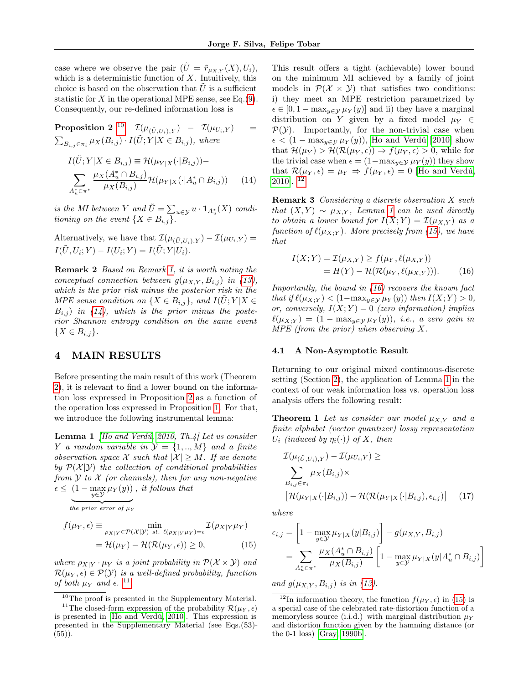case where we observe the pair  $(\tilde{U} = \tilde{r}_{\mu_{X,Y}}(X), U_i)$ , which is a deterministic function of  $X$ . Intuitively, this choice is based on the observation that  $U$  is a sufficient statistic for X in the operational MPE sense, see Eq.  $(9)$ . Consequently, our re-defined information loss is

**Proposition 2** <sup>[10](#page-4-3)</sup>  $\mathcal{I}(\mu_{(\tilde{U},U_i),Y}) - \mathcal{I}(\mu_{U_i,Y}) =$  $\sum_{B_{i,j}\in\pi_i}\mu_X(B_{i,j})\cdot I(\tilde{U};Y|X\in B_{i,j}),$  where

$$
I(\tilde{U}; Y | X \in B_{i,j}) \equiv \mathcal{H}(\mu_{Y|X}(\cdot | B_{i,j})) -
$$
  

$$
\sum_{A_u^* \in \pi^*} \frac{\mu_X(A_u^* \cap B_{i,j})}{\mu_X(B_{i,j})} \mathcal{H}(\mu_{Y|X}(\cdot | A_u^* \cap B_{i,j})) \qquad (14)
$$

is the MI between Y and  $\tilde{U} = \sum_{u \in \mathcal{Y}} u \cdot \mathbf{1}_{A_u^*}(X)$  conditioning on the event  $\{X \in B_{i,j}\}.$ 

Alternatively, we have that  $\mathcal{I}(\mu_{(\tilde{U} U_i),Y}) - \mathcal{I}(\mu_{U_i,Y}) =$  $I(\tilde{U}, U_i; Y) - I(U_i; Y) = I(\tilde{U}; Y|U_i).$ 

Remark 2 Based on Remark [1,](#page-3-9) it is worth noting the conceptual connection between  $g(\mu_{X,Y}, B_{i,j})$  in [\(13\)](#page-3-10), which is the prior risk minus the posterior risk in the MPE sense condition on  $\{X \in B_{i,j}\}\$ , and  $I(\hat{U};Y|X \in$  $B_{i,j}$ ) in [\(14\)](#page-4-4), which is the prior minus the posterior Shannon entropy condition on the same event  $\{X \in B_{i,j}\}.$ 

### <span id="page-4-1"></span>4 MAIN RESULTS

Before presenting the main result of this work (Theorem [2\)](#page-5-0), it is relevant to find a lower bound on the information loss expressed in Proposition [2](#page-4-5) as a function of the operation loss expressed in Proposition [1.](#page-3-7) For that, we introduce the following instrumental lemma:

**Lemma 1** *[\[Ho and Verdú, 2010,](#page-9-8) Th.4] Let us consider* Y a random variable in  $\mathcal{Y} = \{1, ..., M\}$  and a finite observation space X such that  $|\mathcal{X}| > M$ . If we denote by  $\mathcal{P}(\mathcal{X}|\mathcal{Y})$  the collection of conditional probabilities from  $Y$  to  $X$  (or channels), then for any non-negative  $\epsilon \leq (1 - \max_{y \in \mathcal{Y}} \mu_Y(y))$ , it follows that

the prior error of  $\mu_Y$ 

$$
f(\mu_Y, \epsilon) \equiv \min_{\rho_{X|Y} \in \mathcal{P}(\mathcal{X}|\mathcal{Y}) \text{ st. } \ell(\rho_{X|Y}\mu_Y) = \epsilon} \mathcal{I}(\rho_{X|Y}\mu_Y)
$$

$$
= \mathcal{H}(\mu_Y) - \mathcal{H}(\mathcal{R}(\mu_Y, \epsilon)) \ge 0,
$$
(15)

where  $\rho_{X|Y} \cdot \mu_Y$  is a joint probability in  $\mathcal{P}(\mathcal{X} \times \mathcal{Y})$  and  $\mathcal{R}(\mu_Y, \epsilon) \in \mathcal{P}(Y)$  is a well-defined probability, function of both  $\mu_Y$  and  $\epsilon$ . <sup>[11](#page-4-6)</sup>

<span id="page-4-5"></span>This result offers a tight (achievable) lower bound on the minimum MI achieved by a family of joint models in  $\mathcal{P}(\mathcal{X} \times \mathcal{Y})$  that satisfies two conditions: i) they meet an MPE restriction parametrized by  $\epsilon \in [0, 1 - \max_{y \in \mathcal{Y}} \mu_Y(y)]$  and ii) they have a marginal distribution on Y given by a fixed model  $\mu_Y \in$  $P(Y)$ . Importantly, for the non-trivial case when  $\epsilon < (1 - \max_{y \in \mathcal{Y}} \mu_Y(y))$ , [Ho and Verdú](#page-9-8) [\[2010\]](#page-9-8) show that  $\mathcal{H}(\mu_Y) > \mathcal{H}(\mathcal{R}(\mu_Y, \epsilon)) \Rightarrow f(\mu_Y, \epsilon) > 0$ , while for the trivial case when  $\epsilon = (1 - \max_{y \in \mathcal{Y}} \mu_Y(y))$  they show that  $\mathcal{R}(\mu_Y, \epsilon) = \mu_Y \Rightarrow f(\mu_Y, \epsilon) = 0$  [\[Ho and Verdú,](#page-9-8) [2010\]](#page-9-8). [12](#page-4-7)

<span id="page-4-4"></span>Remark 3 Considering a discrete observation X such that  $(X, Y) \sim \mu_{X,Y}$ , Lemma [1](#page-4-8) can be used directly to obtain a lower bound for  $I(X;Y) = \mathcal{I}(\mu_{X,Y})$  as a function of  $\ell(\mu_{X;Y})$ . More precisely from [\(15\)](#page-4-9), we have that

<span id="page-4-10"></span>
$$
I(X;Y) = \mathcal{I}(\mu_{X,Y}) \ge f(\mu_Y, \ell(\mu_{X,Y}))
$$
  
=  $H(Y) - \mathcal{H}(\mathcal{R}(\mu_Y, \ell(\mu_{X,Y}))).$  (16)

Importantly, the bound in [\(16\)](#page-4-10) recovers the known fact that if  $\ell(\mu_{X;Y}) < (1-\max_{y\in \mathcal{Y}} \mu_Y(y))$  then  $I(X;Y) > 0$ , or, conversely,  $I(X;Y) = 0$  (zero information) implies  $\ell(\mu_{X;Y}) = (1 - \max_{y \in \mathcal{Y}} \mu_Y(y)),$  i.e., a zero gain in  $MPE$  (from the prior) when observing X.

#### <span id="page-4-2"></span>4.1 A Non-Asymptotic Result

Returning to our original mixed continuous-discrete setting (Section [2\)](#page-2-1), the application of Lemma [1](#page-4-8) in the context of our weak information loss vs. operation loss analysis offers the following result:

<span id="page-4-8"></span><span id="page-4-0"></span>**Theorem 1** Let us consider our model  $\mu_{X,Y}$  and a finite alphabet (vector quantizer) lossy representation  $U_i$  (induced by  $\eta_i(\cdot)$ ) of X, then

<span id="page-4-11"></span>
$$
\mathcal{I}(\mu_{(\tilde{U},U_i),Y}) - \mathcal{I}(\mu_{U_i,Y}) \ge
$$
\n
$$
\sum_{B_{i,j} \in \pi_i} \mu_X(B_{i,j}) \times \left[ \mathcal{H}(\mu_{Y|X}(\cdot|B_{i,j})) - \mathcal{H}(\mathcal{R}(\mu_{Y|X}(\cdot|B_{i,j}), \epsilon_{i,j}) \right] \tag{17}
$$

where

<span id="page-4-9"></span>
$$
\epsilon_{i,j} = \left[1 - \max_{y \in \mathcal{Y}} \mu_{Y|X}(y|B_{i,j})\right] - g(\mu_{X,Y}, B_{i,j})
$$
  
= 
$$
\sum_{A_u^* \in \pi^*} \frac{\mu_X(A_u^* \cap B_{i,j})}{\mu_X(B_{i,j})} \left[1 - \max_{y \in \mathcal{Y}} \mu_{Y|X}(y|A_u^* \cap B_{i,j})\right]
$$

and  $g(\mu_{X,Y}, B_{i,j})$  is in [\(13\)](#page-3-10).

<span id="page-4-6"></span><span id="page-4-3"></span> $^{10}\mathrm{The}$  proof is presented in the Supplementary Material.

<sup>&</sup>lt;sup>11</sup>The closed-form expression of the probability  $\mathcal{R}(\mu_Y, \epsilon)$ is presented in [\[Ho and Verdú, 2010\]](#page-9-8). This expression is presented in the Supplementary Material (see Eqs.(53)-  $(55)$ ).

<span id="page-4-7"></span><sup>&</sup>lt;sup>12</sup>In information theory, the function  $f(\mu_Y, \epsilon)$  in [\(15\)](#page-4-9) is a special case of the celebrated rate-distortion function of a memoryless source (i.i.d.) with marginal distribution  $\mu_Y$ and distortion function given by the hamming distance (or the 0-1 loss) [\[Gray, 1990b\]](#page-9-12).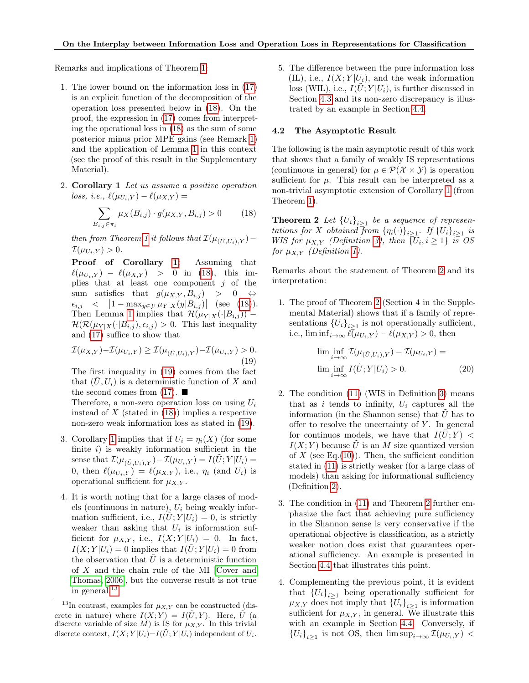Remarks and implications of Theorem [1:](#page-4-0)

- 1. The lower bound on the information loss in [\(17\)](#page-4-11) is an explicit function of the decomposition of the operation loss presented below in [\(18\)](#page-5-2). On the proof, the expression in [\(17\)](#page-4-11) comes from interpreting the operational loss in [\(18\)](#page-5-2) as the sum of some posterior minus prior MPE gains (see Remark [1\)](#page-3-9) and the application of Lemma [1](#page-4-8) in this context (see the proof of this result in the Supplementary Material).
- <span id="page-5-3"></span>2. Corollary 1 Let us assume a positive operation loss, i.e.,  $\ell(\mu_{U_i,Y}) - \ell(\mu_{X,Y}) =$

<span id="page-5-2"></span>
$$
\sum_{B_{i,j}\in\pi_i} \mu_X(B_{i,j}) \cdot g(\mu_{X,Y}, B_{i,j}) > 0 \tag{18}
$$

then from Theorem [1](#page-4-0) it follows that  $\mathcal{I}(\mu_{(\tilde{U},U\setminus Y)}) \mathcal{I}(\mu_{U_i,Y}) > 0.$ 

Proof of Corollary [1](#page-5-3): Assuming that  $\ell(\mu_{U_i,Y}) - \ell(\mu_{X,Y}) > 0$  in [\(18\)](#page-5-2), this implies that at least one component  $j$  of the sum satisfies that  $g(\mu_{X,Y}, B_{i,j}) > 0 \Leftrightarrow$  $\epsilon_{i,j}$  <  $[1 - \max_{y \in \mathcal{Y}} \mu_{Y|X}(y|B_{i,j})]$  (see [\(18\)](#page-5-2)). Then Lemma [1](#page-4-8) implies that  $\mathcal{H}(\mu_{Y|X}(\cdot|B_{i,j}))$  –  $\mathcal{H}(\mathcal{R}(\mu_{Y|X}(\cdot|B_{i,j}), \epsilon_{i,j}) > 0$ . This last inequality and [\(17\)](#page-4-11) suffice to show that

<span id="page-5-4"></span>
$$
\mathcal{I}(\mu_{X,Y}) - \mathcal{I}(\mu_{U_i,Y}) \ge \mathcal{I}(\mu_{(\tilde{U},U_i),Y}) - \mathcal{I}(\mu_{U_i,Y}) > 0.
$$
\n(19)

The first inequality in [\(19\)](#page-5-4) comes from the fact that  $(\tilde{U}, U_i)$  is a deterministic function of X and the second comes from  $(17)$ .

Therefore, a non-zero operation loss on using  $U_i$ instead of  $X$  (stated in  $(18)$ ) implies a respective non-zero weak information loss as stated in [\(19\)](#page-5-4).

- 3. Corollary [1](#page-5-3) implies that if  $U_i = \eta_i(X)$  (for some finite  $i$ ) is weakly information sufficient in the sense that  $\mathcal{I}(\mu_{(\tilde{U},U_i),Y})-\mathcal{I}(\mu_{U_i,Y})=I(U;Y|U_i)=$ 0, then  $\ell(\mu_{U_i,Y}) = \ell(\mu_{X,Y})$ , i.e.,  $\eta_i$  (and  $U_i$ ) is operational sufficient for  $\mu_{X,Y}$ .
- 4. It is worth noting that for a large clases of models (continuous in nature),  $U_i$  being weakly information sufficient, i.e.,  $I(\hat{U}; Y | U_i) = 0$ , is strictly weaker than asking that  $U_i$  is information sufficient for  $\mu_{X,Y}$ , i.e.,  $I(X;Y|U_i) = 0$ . In fact,  $I(X; Y|U_i) = 0$  implies that  $I(\tilde{U}; Y|U_i) = 0$  from the observation that  $U$  is a deterministic function of X and the chain rule of the MI [\[Cover and](#page-8-3) [Thomas, 2006\]](#page-8-3), but the converse result is not true in general.[13](#page-5-5)

5. The difference between the pure information loss  $(IL)$ , i.e.,  $I(X; Y|U_i)$ , and the weak information loss (WIL), i.e.,  $I(U;Y|U_i)$ , is further discussed in Section [4.3](#page-6-0) and its non-zero discrepancy is illustrated by an example in Section [4.4.](#page-6-1)

#### <span id="page-5-1"></span>4.2 The Asymptotic Result

The following is the main asymptotic result of this work that shows that a family of weakly IS representations (continuous in general) for  $\mu \in \mathcal{P}(\mathcal{X} \times \mathcal{Y})$  is operation sufficient for  $\mu$ . This result can be interpreted as a non-trivial asymptotic extension of Corollary [1](#page-5-3) (from Theorem [1\)](#page-4-0).

<span id="page-5-0"></span>**Theorem 2** Let  ${U_i}_{i \geq 1}$  be a sequence of representations for X obtained from  ${\{\eta_i(\cdot)\}}_{i\geq 1}$ . If  ${\{U_i\}}_{i\geq 1}$  is WIS for  $\mu_{X,Y}$  (Definition [3\)](#page-3-0), then  $\{U_i, i \geq 1\}$  is OS for  $\mu_{X,Y}$  (Definition [1\)](#page-3-11).

Remarks about the statement of Theorem [2](#page-5-0) and its interpretation:

1. The proof of Theorem [2](#page-5-0) (Section 4 in the Supplemental Material) shows that if a family of representations  ${U_i}_{i\geq 1}$  is not operationally sufficient, i.e.,  $\liminf_{i\to\infty} \ell(\mu_{U_i,Y}) - \ell(\mu_{X,Y}) > 0$ , then

<span id="page-5-6"></span>
$$
\liminf_{i \to \infty} \mathcal{I}(\mu_{(\tilde{U}, U_i), Y}) - \mathcal{I}(\mu_{U_i, Y}) =
$$
  

$$
\liminf_{i \to \infty} I(\tilde{U}; Y | U_i) > 0.
$$
 (20)

- 2. The condition [\(11\)](#page-3-12) (WIS in Definition [3\)](#page-3-0) means that as i tends to infinity,  $U_i$  captures all the information (in the Shannon sense) that  $U$  has to offer to resolve the uncertainty of  $Y$ . In general for continuos models, we have that  $I(U;Y)$  <  $I(X; Y)$  because  $\tilde{U}$  is an M size quantized version of  $X$  (see Eq.[\(10\)](#page-3-13)). Then, the sufficient condition stated in [\(11\)](#page-3-12) is strictly weaker (for a large class of models) than asking for informational sufficiency (Definition [2\)](#page-3-14).
- 3. The condition in [\(11\)](#page-3-12) and Theorem [2](#page-5-0) further emphasize the fact that achieving pure sufficiency in the Shannon sense is very conservative if the operational objective is classification, as a strictly weaker notion does exist that guarantees operational sufficiency. An example is presented in Section [4.4](#page-6-1) that illustrates this point.
- 4. Complementing the previous point, it is evident that  ${U_i}_{i\geq 1}$  being operationally sufficient for  $\mu_{X,Y}$  does not imply that  ${U_i}_{i\geq 1}$  is information sufficient for  $\mu_{X,Y}$ , in general. We illustrate this with an example in Section [4.4.](#page-6-1) Conversely, if  ${U_i}_{i\geq 1}$  is not OS, then  $\limsup_{i\to\infty} \mathcal{I}(\mu_{U_i,Y})$

<span id="page-5-5"></span><sup>&</sup>lt;sup>13</sup>In contrast, examples for  $\mu_{X,Y}$  can be constructed (discrete in nature) where  $I(X;Y) = I(\tilde{U};Y)$ . Here,  $\tilde{U}$  (a discrete variable of size M) is IS for  $\mu_{X,Y}$ . In this trivial discrete context,  $I(X;Y|U_i)=I(U;Y|U_i)$  independent of  $U_i$ .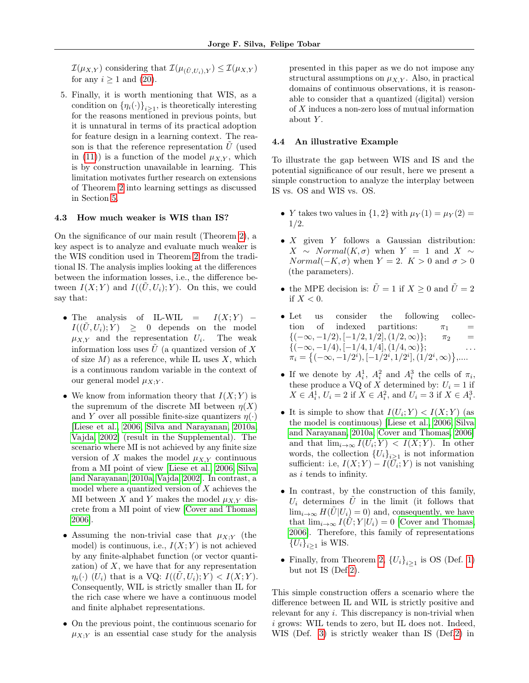$\mathcal{I}(\mu_{X,Y})$  considering that  $\mathcal{I}(\mu_{(\tilde{U},U_i),Y}) \leq \mathcal{I}(\mu_{X,Y})$ for any  $i \geq 1$  and [\(20\)](#page-5-6).

5. Finally, it is worth mentioning that WIS, as a condition on  $\{\eta_i(\cdot)\}_{i\geq 1}$ , is theoretically interesting for the reasons mentioned in previous points, but it is unnatural in terms of its practical adoption for feature design in a learning context. The reason is that the reference representation  $\tilde{U}$  (used in [\(11\)](#page-3-12)) is a function of the model  $\mu_{X,Y}$ , which is by construction unavailable in learning. This limitation motivates further research on extensions of Theorem [2](#page-5-0) into learning settings as discussed in Section [5.](#page-7-0)

#### <span id="page-6-0"></span>4.3 How much weaker is WIS than IS?

On the significance of our main result (Theorem [2\)](#page-5-0), a key aspect is to analyze and evaluate much weaker is the WIS condition used in Theorem [2](#page-5-0) from the traditional IS. The analysis implies looking at the differences between the information losses, i.e., the difference between  $I(X; Y)$  and  $I((\tilde{U}, U_i); Y)$ . On this, we could say that:

- The analysis of IL-WIL =  $I(X;Y)$   $I((\tilde{U}, U_i); Y) \geq 0$  depends on the model  $\mu_{X,Y}$  and the representation  $U_i$ . . The weak information loss uses  $\tilde{U}$  (a quantized version of X of size  $M$ ) as a reference, while IL uses  $X$ , which is a continuous random variable in the context of our general model  $\mu_{X}$ .
- We know from information theory that  $I(X; Y)$  is the supremum of the discrete MI between  $\eta(X)$ and Y over all possible finite-size quantizers  $\eta(\cdot)$ [\[Liese et al., 2006,](#page-9-9) [Silva and Narayanan, 2010a,](#page-9-13) [Vajda, 2002\]](#page-9-14) (result in the Supplemental). The scenario where MI is not achieved by any finite size version of X makes the model  $\mu_{X,Y}$  continuous from a MI point of view [\[Liese et al., 2006,](#page-9-9) [Silva](#page-9-13) [and Narayanan, 2010a,](#page-9-13) [Vajda, 2002\]](#page-9-14). In contrast, a model where a quantized version of  $X$  achieves the MI between X and Y makes the model  $\mu_{X,Y}$  discrete from a MI point of view [\[Cover and Thomas,](#page-8-3) [2006\]](#page-8-3).
- Assuming the non-trivial case that  $\mu_{X;Y}$  (the model) is continuous, i.e.,  $I(X;Y)$  is not achieved by any finite-alphabet function (or vector quantization) of  $X$ , we have that for any representation  $\eta_i(\cdot)$  (U<sub>i</sub>) that is a VQ:  $I((\tilde{U}, U_i); Y) < I(X; Y)$ . Consequently, WIL is strictly smaller than IL for the rich case where we have a continuous model and finite alphabet representations.
- On the previous point, the continuous scenario for  $\mu_{X;Y}$  is an essential case study for the analysis

presented in this paper as we do not impose any structural assumptions on  $\mu_{X,Y}$ . Also, in practical domains of continuous observations, it is reasonable to consider that a quantized (digital) version of X induces a non-zero loss of mutual information about Y.

### <span id="page-6-1"></span>4.4 An illustrative Example

To illustrate the gap between WIS and IS and the potential significance of our result, here we present a simple construction to analyze the interplay between IS vs. OS and WIS vs. OS.

- Y takes two values in  $\{1,2\}$  with  $\mu_Y(1) = \mu_Y(2)$  = 1/2.
- $X$  given  $Y$  follows a Gaussian distribution:  $X \sim Normal(K, \sigma)$  when  $Y = 1$  and  $X \sim$  $Normal(-K, \sigma)$  when  $Y = 2$ .  $K > 0$  and  $\sigma > 0$ (the parameters).
- the MPE decision is:  $\tilde{U} = 1$  if  $X \geq 0$  and  $\tilde{U} = 2$ if  $X < 0$ .
- Let us consider the following collection of indexed partitions:  $\pi_1$  =  ${(-\infty, -1/2), [-1/2, 1/2], (1/2, \infty)};$   $\pi_2$  =  $\{(-\infty, -1/4), [-1/4, 1/4], (1/4, \infty)\};$  ...  $\pi_i = \left\{(-\infty, -1/2^i), [-1/2^i, 1/2^i], (1/2^i, \infty)\right\},\dots$
- If we denote by  $A_i^1$ ,  $A_i^2$  and  $A_i^3$  the cells of  $\pi_i$ , these produce a VQ of X determined by:  $U_i = 1$  if  $X \in A_i^1$ ,  $U_i = 2$  if  $X \in A_i^2$ , and  $U_i = 3$  if  $X \in A_i^3$ .
- It is simple to show that  $I(U_i; Y) < I(X; Y)$  (as the model is continuous) [\[Liese et al., 2006,](#page-9-9) [Silva](#page-9-13) [and Narayanan, 2010a,](#page-9-13) [Cover and Thomas, 2006\]](#page-8-3) and that  $\lim_{i\to\infty} I(U_i;Y) < I(X;Y)$ . In other words, the collection  ${U_i}_{i\geq 1}$  is not information sufficient: i.e,  $I(X;Y) - I(\bar{U}_i;Y)$  is not vanishing as i tends to infinity.
- In contrast, by the construction of this family,  $U_i$  determines U in the limit (it follows that  $\lim_{i\to\infty} H(U|U_i) = 0$  and, consequently, we have that  $\lim_{i\to\infty} I(U;Y|U_i) = 0$  [\[Cover and Thomas,](#page-8-3) [2006\]](#page-8-3). Therefore, this family of representations  ${U_i}_{i\geq 1}$  is WIS.
- Finally, from Theorem [2,](#page-5-0)  ${U_i}_{i\geq 1}$  is OS (Def. [1\)](#page-3-11) but not IS (Def[.2\)](#page-3-14).

This simple construction offers a scenario where the difference between IL and WIL is strictly positive and relevant for any  $i$ . This discrepancy is non-trivial when i grows: WIL tends to zero, but IL does not. Indeed, WIS (Def. [3\)](#page-3-0) is strictly weaker than IS (Def[.2\)](#page-3-14) in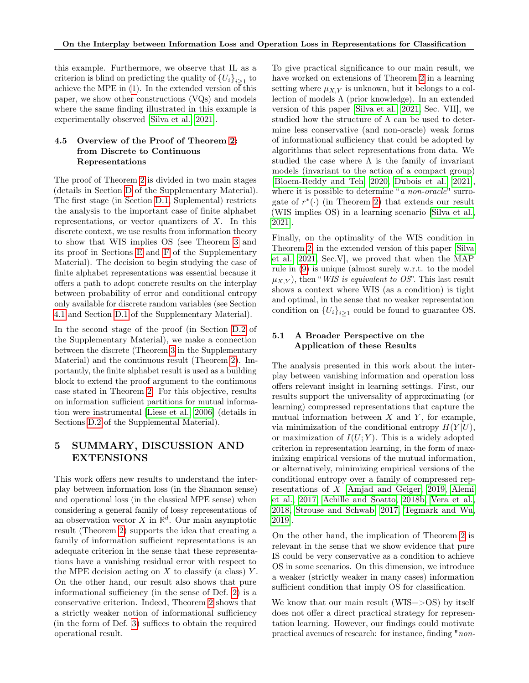this example. Furthermore, we observe that IL as a criterion is blind on predicting the quality of  ${U_i}_{i\geq 1}$  to achieve the MPE in [\(1\)](#page-2-3). In the extended version of this paper, we show other constructions (VQs) and models where the same finding illustrated in this example is experimentally observed [\[Silva et al., 2021\]](#page-9-15).

### 4.5 Overview of the Proof of Theorem [2:](#page-5-0) from Discrete to Continuous Representations

The proof of Theorem [2](#page-5-0) is divided in two main stages (details in Section [D](#page-11-0) of the Supplementary Material). The first stage (in Section [D.1,](#page-11-1) Suplemental) restricts the analysis to the important case of finite alphabet representations, or vector quantizers of  $X$ . In this discrete context, we use results from information theory to show that WIS implies OS (see Theorem [3](#page-11-2) and its proof in Sections [E](#page-13-0) and [F](#page-15-0) of the Supplementary Material). The decision to begin studying the case of finite alphabet representations was essential because it offers a path to adopt concrete results on the interplay between probability of error and conditional entropy only available for discrete random variables (see Section [4.1](#page-4-2) and Section [D.1](#page-11-1) of the Supplementary Material).

In the second stage of the proof (in Section [D.2](#page-12-0) of the Supplementary Material), we make a connection between the discrete (Theorem [3](#page-11-2) in the Supplementary Material) and the continuous result (Theorem [2\)](#page-5-0). Importantly, the finite alphabet result is used as a building block to extend the proof argument to the continuous case stated in Theorem [2.](#page-5-0) For this objective, results on information sufficient partitions for mutual information were instrumental [\[Liese et al., 2006\]](#page-9-9) (details in Sections [D.2](#page-12-0) of the Supplemental Material).

# <span id="page-7-0"></span>5 SUMMARY, DISCUSSION AND EXTENSIONS

This work offers new results to understand the interplay between information loss (in the Shannon sense) and operational loss (in the classical MPE sense) when considering a general family of lossy representations of an observation vector  $X$  in  $\mathbb{R}^d$ . Our main asymptotic result (Theorem [2\)](#page-5-0) supports the idea that creating a family of information sufficient representations is an adequate criterion in the sense that these representations have a vanishing residual error with respect to the MPE decision acting on  $X$  to classify (a class)  $Y$ . On the other hand, our result also shows that pure informational sufficiency (in the sense of Def. [2\)](#page-3-14) is a conservative criterion. Indeed, Theorem [2](#page-5-0) shows that a strictly weaker notion of informational sufficiency (in the form of Def. [3\)](#page-3-0) suffices to obtain the required operational result.

To give practical significance to our main result, we have worked on extensions of Theorem [2](#page-5-0) in a learning setting where  $\mu_{X,Y}$  is unknown, but it belongs to a collection of models  $\Lambda$  (prior knowledge). In an extended version of this paper [\[Silva et al., 2021,](#page-9-15) Sec. VII], we studied how the structure of  $\Lambda$  can be used to determine less conservative (and non-oracle) weak forms of informational sufficiency that could be adopted by algorithms that select representations from data. We studied the case where  $\Lambda$  is the family of invariant models (invariant to the action of a compact group) [\[Bloem-Reddy and Teh, 2020,](#page-8-1) [Dubois et al., 2021\]](#page-8-2), where it is possible to determine "*a non-oracle*" surrogate of  $r^*(\cdot)$  (in Theorem [2\)](#page-5-0) that extends our result (WIS implies OS) in a learning scenario [\[Silva et al.,](#page-9-15) [2021\]](#page-9-15).

Finally, on the optimality of the WIS condition in Theorem [2,](#page-5-0) in the extended version of this paper [\[Silva](#page-9-15) [et al., 2021,](#page-9-15) Sec.V], we proved that when the MAP rule in [\(9\)](#page-3-1) is unique (almost surely w.r.t. to the model  $\mu_{X,Y}$ , then "WIS is equivalent to OS". This last result shows a context where WIS (as a condition) is tight and optimal, in the sense that no weaker representation condition on  ${U_i}_{i\geq 1}$  could be found to guarantee OS.

### <span id="page-7-1"></span>5.1 A Broader Perspective on the Application of these Results

The analysis presented in this work about the interplay between vanishing information and operation loss offers relevant insight in learning settings. First, our results support the universality of approximating (or learning) compressed representations that capture the mutual information between  $X$  and  $Y$ , for example, via minimization of the conditional entropy  $H(Y|U)$ , or maximization of  $I(U;Y)$ . This is a widely adopted criterion in representation learning, in the form of maximizing empirical versions of the mutual information, or alternatively, minimizing empirical versions of the conditional entropy over a family of compressed representations of X [\[Amjad and Geiger, 2019,](#page-8-8) [Alemi](#page-8-9) [et al., 2017,](#page-8-9) [Achille and Soatto, 2018b,](#page-8-10) [Vera et al.,](#page-9-4) [2018,](#page-9-4) [Strouse and Schwab, 2017,](#page-9-6) [Tegmark and Wu,](#page-9-7) [2019\]](#page-9-7).

On the other hand, the implication of Theorem [2](#page-5-0) is relevant in the sense that we show evidence that pure IS could be very conservative as a condition to achieve OS in some scenarios. On this dimension, we introduce a weaker (strictly weaker in many cases) information sufficient condition that imply OS for classification.

We know that our main result (WIS=>OS) by itself does not offer a direct practical strategy for representation learning. However, our findings could motivate practical avenues of research: for instance, finding "non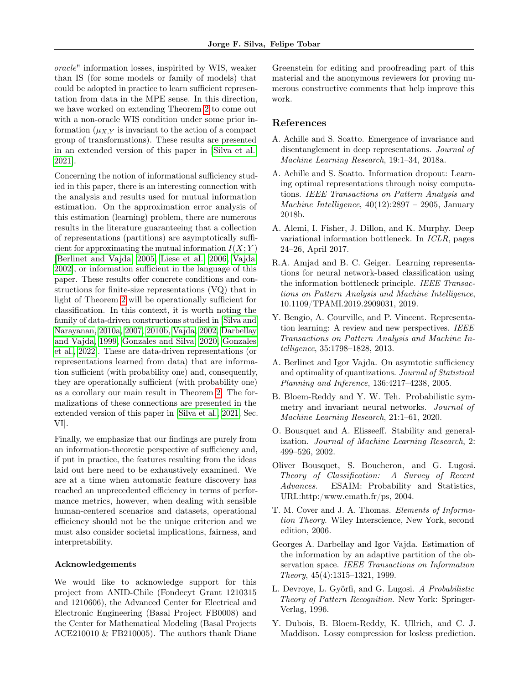oracle" information losses, inspirited by WIS, weaker than IS (for some models or family of models) that could be adopted in practice to learn sufficient representation from data in the MPE sense. In this direction, we have worked on extending Theorem [2](#page-5-0) to come out with a non-oracle WIS condition under some prior information  $(\mu_{X,Y}$  is invariant to the action of a compact group of transformations). These results are presented in an extended version of this paper in [\[Silva et al.,](#page-9-15) [2021\]](#page-9-15).

Concerning the notion of informational sufficiency studied in this paper, there is an interesting connection with the analysis and results used for mutual information estimation. On the approximation error analysis of this estimation (learning) problem, there are numerous results in the literature guaranteeing that a collection of representations (partitions) are asymptotically sufficient for approximating the mutual information  $I(X; Y)$ [\[Berlinet and Vajda, 2005,](#page-8-11) [Liese et al., 2006,](#page-9-9) [Vajda,](#page-9-14) [2002\]](#page-9-14), or information sufficient in the language of this paper. These results offer concrete conditions and constructions for finite-size representations (VQ) that in light of Theorem [2](#page-5-0) will be operationally sufficient for classification. In this context, it is worth noting the family of data-driven constructions studied in [\[Silva and](#page-9-13) [Narayanan, 2010a,](#page-9-13) [2007,](#page-9-16) [2010b,](#page-9-17) [Vajda, 2002,](#page-9-14) [Darbellay](#page-8-12) [and Vajda, 1999,](#page-8-12) [Gonzales and Silva, 2020,](#page-9-18) [Gonzales](#page-9-19) [et al., 2022\]](#page-9-19). These are data-driven representations (or representations learned from data) that are information sufficient (with probability one) and, consequently, they are operationally sufficient (with probability one) as a corollary our main result in Theorem [2.](#page-5-0) The formalizations of these connections are presented in the extended version of this paper in [\[Silva et al., 2021,](#page-9-15) Sec. VI].

Finally, we emphasize that our findings are purely from an information-theoretic perspective of sufficiency and, if put in practice, the features resulting from the ideas laid out here need to be exhaustively examined. We are at a time when automatic feature discovery has reached an unprecedented efficiency in terms of performance metrics, however, when dealing with sensible human-centered scenarios and datasets, operational efficiency should not be the unique criterion and we must also consider societal implications, fairness, and interpretability.

#### Acknowledgements

We would like to acknowledge support for this project from ANID-Chile (Fondecyt Grant 1210315 and 1210606), the Advanced Center for Electrical and Electronic Engineering (Basal Project FB0008) and the Center for Mathematical Modeling (Basal Projects ACE210010 & FB210005). The authors thank Diane Greenstein for editing and proofreading part of this material and the anonymous reviewers for proving numerous constructive comments that help improve this work.

### References

- <span id="page-8-7"></span>A. Achille and S. Soatto. Emergence of invariance and disentanglement in deep representations. Journal of Machine Learning Research, 19:1–34, 2018a.
- <span id="page-8-10"></span>A. Achille and S. Soatto. Information dropout: Learning optimal representations through noisy computations. IEEE Transactions on Pattern Analysis and Machine Intelligence,  $40(12):2897 - 2905$ , January 2018b.
- <span id="page-8-9"></span>A. Alemi, I. Fisher, J. Dillon, and K. Murphy. Deep variational information bottleneck. In ICLR, pages 24–26, April 2017.
- <span id="page-8-8"></span>R.A. Amjad and B. C. Geiger. Learning representations for neural network-based classification using the information bottleneck principle. IEEE Transactions on Pattern Analysis and Machine Intelligence, 10.1109/TPAMI.2019.2909031, 2019.
- <span id="page-8-0"></span>Y. Bengio, A. Courville, and P. Vincent. Representation learning: A review and new perspectives. IEEE Transactions on Pattern Analysis and Machine Intelligence, 35:1798–1828, 2013.
- <span id="page-8-11"></span>A. Berlinet and Igor Vajda. On asymtotic sufficiency and optimality of quantizations. Journal of Statistical Planning and Inference, 136:4217–4238, 2005.
- <span id="page-8-1"></span>B. Bloem-Reddy and Y. W. Teh. Probabilistic symmetry and invariant neural networks. Journal of Machine Learning Research, 21:1–61, 2020.
- <span id="page-8-4"></span>O. Bousquet and A. Elisseeff. Stability and generalization. Journal of Machine Learning Research, 2: 499–526, 2002.
- <span id="page-8-6"></span>Oliver Bousquet, S. Boucheron, and G. Lugosi. Theory of Classification: A Survey of Recent Advances. ESAIM: Probability and Statistics, URL:http:/www.emath.fr/ps, 2004.
- <span id="page-8-3"></span>T. M. Cover and J. A. Thomas. Elements of Information Theory. Wiley Interscience, New York, second edition, 2006.
- <span id="page-8-12"></span>Georges A. Darbellay and Igor Vajda. Estimation of the information by an adaptive partition of the observation space. IEEE Transactions on Information Theory, 45(4):1315–1321, 1999.
- <span id="page-8-5"></span>L. Devroye, L. Györfi, and G. Lugosi. A Probabilistic Theory of Pattern Recognition. New York: Springer-Verlag, 1996.
- <span id="page-8-2"></span>Y. Dubois, B. Bloem-Reddy, K. Ullrich, and C. J. Maddison. Lossy compression for losless prediction.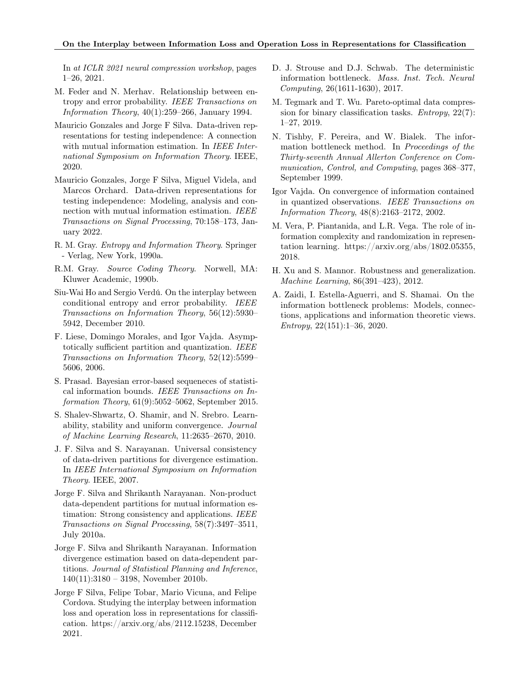In at ICLR 2021 neural compression workshop, pages 1–26, 2021.

- <span id="page-9-10"></span>M. Feder and N. Merhav. Relationship between entropy and error probability. IEEE Transactions on Information Theory, 40(1):259–266, January 1994.
- <span id="page-9-18"></span>Mauricio Gonzales and Jorge F Silva. Data-driven representations for testing independence: A connection with mutual information estimation. In IEEE International Symposium on Information Theory. IEEE, 2020.
- <span id="page-9-19"></span>Mauricio Gonzales, Jorge F Silva, Miguel Videla, and Marcos Orchard. Data-driven representations for testing independence: Modeling, analysis and connection with mutual information estimation. IEEE Transactions on Signal Processing, 70:158–173, January 2022.
- <span id="page-9-0"></span>R. M. Gray. Entropy and Information Theory. Springer - Verlag, New York, 1990a.
- <span id="page-9-12"></span>R.M. Gray. Source Coding Theory. Norwell, MA: Kluwer Academic, 1990b.
- <span id="page-9-8"></span>Siu-Wai Ho and Sergio Verdú. On the interplay between conditional entropy and error probability. IEEE Transactions on Information Theory, 56(12):5930– 5942, December 2010.
- <span id="page-9-9"></span>F. Liese, Domingo Morales, and Igor Vajda. Asymptotically sufficient partition and quantization. IEEE Transactions on Information Theory, 52(12):5599– 5606, 2006.
- <span id="page-9-11"></span>S. Prasad. Bayesian error-based sequeneces of statistical information bounds. IEEE Transactions on Information Theory, 61(9):5052–5062, September 2015.
- <span id="page-9-2"></span>S. Shalev-Shwartz, O. Shamir, and N. Srebro. Learnability, stability and uniform convergence. Journal of Machine Learning Research, 11:2635–2670, 2010.
- <span id="page-9-16"></span>J. F. Silva and S. Narayanan. Universal consistency of data-driven partitions for divergence estimation. In IEEE International Symposium on Information Theory. IEEE, 2007.
- <span id="page-9-13"></span>Jorge F. Silva and Shrikanth Narayanan. Non-product data-dependent partitions for mutual information estimation: Strong consistency and applications. IEEE Transactions on Signal Processing, 58(7):3497–3511, July 2010a.
- <span id="page-9-17"></span>Jorge F. Silva and Shrikanth Narayanan. Information divergence estimation based on data-dependent partitions. Journal of Statistical Planning and Inference, 140(11):3180 – 3198, November 2010b.
- <span id="page-9-15"></span>Jorge F Silva, Felipe Tobar, Mario Vicuna, and Felipe Cordova. Studying the interplay between information loss and operation loss in representations for classification. https://arxiv.org/abs/2112.15238, December 2021.
- <span id="page-9-6"></span>D. J. Strouse and D.J. Schwab. The deterministic information bottleneck. Mass. Inst. Tech. Neural Computing, 26(1611-1630), 2017.
- <span id="page-9-7"></span>M. Tegmark and T. Wu. Pareto-optimal data compression for binary classification tasks. *Entropy*,  $22(7)$ : 1–27, 2019.
- <span id="page-9-3"></span>N. Tishby, F. Pereira, and W. Bialek. The information bottleneck method. In Proceedings of the Thirty-seventh Annual Allerton Conference on Communication, Control, and Computing, pages 368–377, September 1999.
- <span id="page-9-14"></span>Igor Vajda. On convergence of information contained in quantized observations. IEEE Transactions on Information Theory, 48(8):2163–2172, 2002.
- <span id="page-9-4"></span>M. Vera, P. Piantanida, and L.R. Vega. The role of information complexity and randomization in representation learning. https://arxiv.org/abs/1802.05355, 2018.
- <span id="page-9-1"></span>H. Xu and S. Mannor. Robustness and generalization. Machine Learning, 86(391–423), 2012.
- <span id="page-9-5"></span>A. Zaidi, I. Estella-Aguerri, and S. Shamai. On the information bottleneck problems: Models, connections, applications and information theoretic views. Entropy, 22(151):1–36, 2020.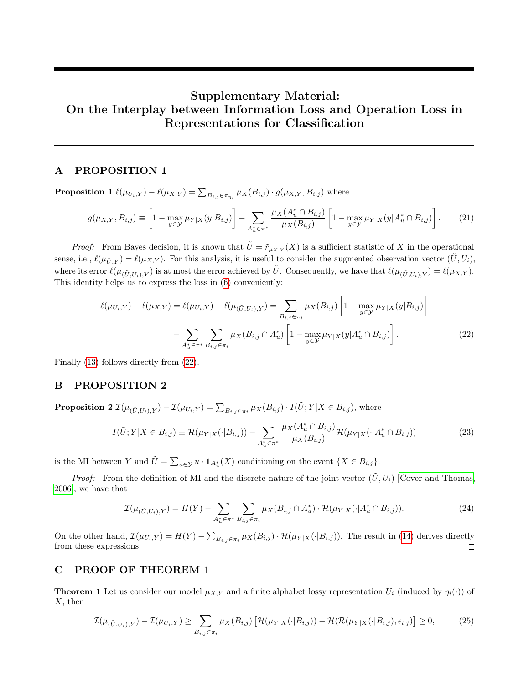# Supplementary Material: On the Interplay between Information Loss and Operation Loss in Representations for Classification

### A PROPOSITION 1

**Proposition 1**  $\ell(\mu_{U_i,Y}) - \ell(\mu_{X,Y}) = \sum_{B_{i,j} \in \pi_{\eta_i}} \mu_X(B_{i,j}) \cdot g(\mu_{X,Y}, B_{i,j})$  where

$$
g(\mu_{X,Y}, B_{i,j}) \equiv \left[1 - \max_{y \in \mathcal{Y}} \mu_{Y|X}(y|B_{i,j})\right] - \sum_{A_u^* \in \pi^*} \frac{\mu_X(A_u^* \cap B_{i,j})}{\mu_X(B_{i,j})} \left[1 - \max_{y \in \mathcal{Y}} \mu_{Y|X}(y|A_u^* \cap B_{i,j})\right].
$$
 (21)

*Proof:* From Bayes decision, it is known that  $\tilde{U} = \tilde{r}_{\mu_{X,Y}}(X)$  is a sufficient statistic of X in the operational sense, i.e.,  $\ell(\mu_{\tilde{U},Y}) = \ell(\mu_{X,Y})$ . For this analysis, it is useful to consider the augmented observation vector  $(\tilde{U}, U_i)$ , where its error  $\ell(\mu_{(\tilde{U},U_i),Y})$  is at most the error achieved by  $\tilde{U}$ . Consequently, we have that  $\ell(\mu_{(\tilde{U},U_i),Y}) = \ell(\mu_{X,Y})$ . This identity helps us to express the loss in [\(6\)](#page-3-3) conveniently:

$$
\ell(\mu_{U_i,Y}) - \ell(\mu_{X,Y}) = \ell(\mu_{U_i,Y}) - \ell(\mu_{(\tilde{U},U_i),Y}) = \sum_{B_{i,j} \in \pi_i} \mu_X(B_{i,j}) \left[1 - \max_{y \in \mathcal{Y}} \mu_{Y|X}(y|B_{i,j})\right]
$$

$$
- \sum_{A_u^* \in \pi^*} \sum_{B_{i,j} \in \pi_i} \mu_X(B_{i,j} \cap A_u^*) \left[1 - \max_{y \in \mathcal{Y}} \mu_{Y|X}(y|A_u^* \cap B_{i,j})\right].
$$
(22)

<span id="page-10-0"></span> $\Box$ 

Finally [\(13\)](#page-3-10) follows directly from [\(22\)](#page-10-0).

### B PROPOSITION 2

**Proposition 2**  $\mathcal{I}(\mu_{(\tilde{U},U_i),Y}) - \mathcal{I}(\mu_{U_i,Y}) = \sum_{B_{i,j} \in \pi_i} \mu_X(B_{i,j}) \cdot I(\tilde{U};Y|X \in B_{i,j}),$  where

$$
I(\tilde{U}; Y | X \in B_{i,j}) \equiv \mathcal{H}(\mu_{Y|X}(\cdot | B_{i,j})) - \sum_{A_u^* \in \pi^*} \frac{\mu_X(A_u^* \cap B_{i,j})}{\mu_X(B_{i,j})} \mathcal{H}(\mu_{Y|X}(\cdot | A_u^* \cap B_{i,j}))
$$
(23)

is the MI between Y and  $\tilde{U} = \sum_{u \in \mathcal{Y}} u \cdot \mathbf{1}_{A^*_u}(X)$  conditioning on the event  $\{X \in B_{i,j}\}.$ 

*Proof:* From the definition of MI and the discrete nature of the joint vector  $(\tilde{U}, U_i)$  [\[Cover and Thomas,](#page-8-3) [2006\]](#page-8-3), we have that

$$
\mathcal{I}(\mu_{(\tilde{U},U_i),Y}) = H(Y) - \sum_{A_u^* \in \pi^*} \sum_{B_{i,j} \in \pi_i} \mu_X(B_{i,j} \cap A_u^*) \cdot \mathcal{H}(\mu_{Y|X}(\cdot | A_u^* \cap B_{i,j})).
$$
\n(24)

On the other hand,  $\mathcal{I}(\mu_{U_i,Y}) = H(Y) - \sum_{B_{i,j} \in \pi_i} \mu_X(B_{i,j}) \cdot \mathcal{H}(\mu_{Y|X}(\cdot|B_{i,j}))$ . The result in [\(14\)](#page-4-4) derives directly from these expressions.  $\Box$ 

## C PROOF OF THEOREM 1

**Theorem 1** Let us consider our model  $\mu_{X,Y}$  and a finite alphabet lossy representation  $U_i$  (induced by  $\eta_i(\cdot)$ ) of  $X$ , then

$$
\mathcal{I}(\mu_{(\tilde{U},U_i),Y}) - \mathcal{I}(\mu_{U_i,Y}) \ge \sum_{B_{i,j} \in \pi_i} \mu_X(B_{i,j}) \left[ \mathcal{H}(\mu_{Y|X}(\cdot|B_{i,j})) - \mathcal{H}(\mathcal{R}(\mu_{Y|X}(\cdot|B_{i,j}),\epsilon_{i,j})) \right] \ge 0,
$$
 (25)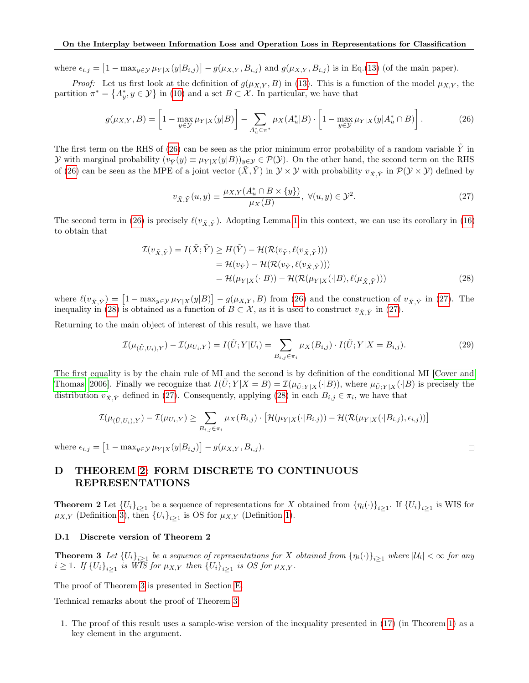where  $\epsilon_{i,j} = [1 - \max_{y \in \mathcal{Y}} \mu_{Y|X}(y|B_{i,j})] - g(\mu_{X,Y}, B_{i,j})$  and  $g(\mu_{X,Y}, B_{i,j})$  is in Eq.[\(13\)](#page-3-10) (of the main paper).

*Proof:* Let us first look at the definition of  $g(\mu_{X,Y}, B)$  in [\(13\)](#page-3-10). This is a function of the model  $\mu_{X,Y}$ , the partition  $\pi^* = \{A_y^*, y \in \mathcal{Y}\}\$ in [\(10\)](#page-3-13) and a set  $B \subset \mathcal{X}$ . In particular, we have that

<span id="page-11-3"></span>
$$
g(\mu_{X,Y}, B) = \left[1 - \max_{y \in \mathcal{Y}} \mu_{Y|X}(y|B)\right] - \sum_{A_u^* \in \pi^*} \mu_X(A_u^*|B) \cdot \left[1 - \max_{y \in \mathcal{Y}} \mu_{Y|X}(y|A_u^* \cap B)\right].
$$
 (26)

The first term on the RHS of  $(26)$  can be seen as the prior minimum error probability of a random variable Y in y with marginal probability  $(v_{\tilde{Y}}(y) \equiv \mu_{Y|X}(y|B))_{y \in \mathcal{Y}} \in \mathcal{P}(\mathcal{Y})$ . On the other hand, the second term on the RHS of [\(26\)](#page-11-3) can be seen as the MPE of a joint vector  $(\tilde{X}, \tilde{Y})$  in  $\mathcal{Y} \times \mathcal{Y}$  with probability  $v_{\tilde{X}, \tilde{Y}}$  in  $\mathcal{P}(\mathcal{Y} \times \mathcal{Y})$  defined by

<span id="page-11-4"></span>
$$
v_{\tilde{X}, \tilde{Y}}(u, y) \equiv \frac{\mu_{X, Y}(A_u^* \cap B \times \{y\})}{\mu_X(B)}, \ \forall (u, y) \in \mathcal{Y}^2.
$$
 (27)

The second term in [\(26\)](#page-11-3) is precisely  $\ell(v_{\tilde{X}, \tilde{Y}})$ . Adopting Lemma [1](#page-4-8) in this context, we can use its corollary in [\(16\)](#page-4-10) to obtain that

$$
\mathcal{I}(v_{\tilde{X}, \tilde{Y}}) = I(\tilde{X}; \tilde{Y}) \ge H(\tilde{Y}) - \mathcal{H}(\mathcal{R}(v_{\tilde{Y}}, \ell(v_{\tilde{X}, \tilde{Y}})))
$$
\n
$$
= \mathcal{H}(v_{\tilde{Y}}) - \mathcal{H}(\mathcal{R}(v_{\tilde{Y}}, \ell(v_{\tilde{X}, \tilde{Y}})))
$$
\n
$$
= \mathcal{H}(\mu_{Y|X}(\cdot|B)) - \mathcal{H}(\mathcal{R}(\mu_{Y|X}(\cdot|B), \ell(\mu_{\tilde{X}, \tilde{Y}})))
$$
\n(28)

where  $\ell(v_{\tilde{X}, \tilde{Y}}) = [1 - \max_{y \in \mathcal{Y}} \mu_{Y|X}(y|B)] - g(\mu_{X,Y}, B)$  from [\(26\)](#page-11-3) and the construction of  $v_{\tilde{X}, \tilde{Y}}$  in [\(27\)](#page-11-4). The inequality in [\(28\)](#page-11-5) is obtained as a function of  $B \subset \mathcal{X}$ , as it is used to construct  $v_{\tilde{X}, \tilde{Y}}$  in [\(27\)](#page-11-4).

Returning to the main object of interest of this result, we have that

$$
\mathcal{I}(\mu_{(\tilde{U},U_i),Y}) - \mathcal{I}(\mu_{U_i,Y}) = I(\tilde{U};Y|U_i) = \sum_{B_{i,j} \in \pi_i} \mu_X(B_{i,j}) \cdot I(\tilde{U};Y|X = B_{i,j}).
$$
\n(29)

<span id="page-11-5"></span> $\Box$ 

The first equality is by the chain rule of MI and the second is by definition of the conditional MI [\[Cover and](#page-8-3) [Thomas, 2006\]](#page-8-3). Finally we recognize that  $I(U;Y|X = B) = \mathcal{I}(\mu_{\tilde{U}:Y|X}(\cdot|B))$ , where  $\mu_{\tilde{U}:Y|X}(\cdot|B)$  is precisely the distribution  $v_{\tilde{X}, \tilde{Y}}$  defined in [\(27\)](#page-11-4). Consequently, applying [\(28\)](#page-11-5) in each  $B_{i,j} \in \pi_i$ , we have that

$$
\mathcal{I}(\mu_{(\tilde{U},U_i),Y}) - \mathcal{I}(\mu_{U_i,Y}) \ge \sum_{B_{i,j} \in \pi_i} \mu_X(B_{i,j}) \cdot \left[ \mathcal{H}(\mu_{Y|X}(\cdot|B_{i,j})) - \mathcal{H}(\mathcal{R}(\mu_{Y|X}(\cdot|B_{i,j}), \epsilon_{i,j})) \right]
$$

where  $\epsilon_{i,j} = [1 - \max_{y \in \mathcal{Y}} \mu_{Y|X}(y|B_{i,j})] - g(\mu_{X,Y}, B_{i,j}).$ 

## <span id="page-11-0"></span>D THEOREM [2:](#page-5-0) FORM DISCRETE TO CONTINUOUS REPRESENTATIONS

**Theorem 2** Let  ${U_i}_{i\geq1}$  be a sequence of representations for X obtained from  ${\{\eta_i(\cdot)\}}_{i\geq1}$ . If  ${U_i}_{i\geq1}$  is WIS for  $\mu_{X,Y}$  (Definition [3\)](#page-3-0), then  $\{U_i\}_{i\geq 1}$  is OS for  $\mu_{X,Y}$  (Definition [1\)](#page-3-11).

#### <span id="page-11-2"></span><span id="page-11-1"></span>D.1 Discrete version of Theorem 2

**Theorem 3** Let  $\{U_i\}_{i\geq 1}$  be a sequence of representations for X obtained from  $\{\eta_i(\cdot)\}_{i\geq 1}$  where  $|\mathcal{U}_i| < \infty$  for any  $i \geq 1$ . If  ${U_i}_{i \geq 1}$  is WIS for  $\mu_{X,Y}$  then  ${U_i}_{i \geq 1}$  is OS for  $\mu_{X,Y}$ .

The proof of Theorem [3](#page-11-2) is presented in Section [E.](#page-13-0)

Technical remarks about the proof of Theorem [3:](#page-11-2)

1. The proof of this result uses a sample-wise version of the inequality presented in [\(17\)](#page-4-11) (in Theorem [1\)](#page-4-0) as a key element in the argument.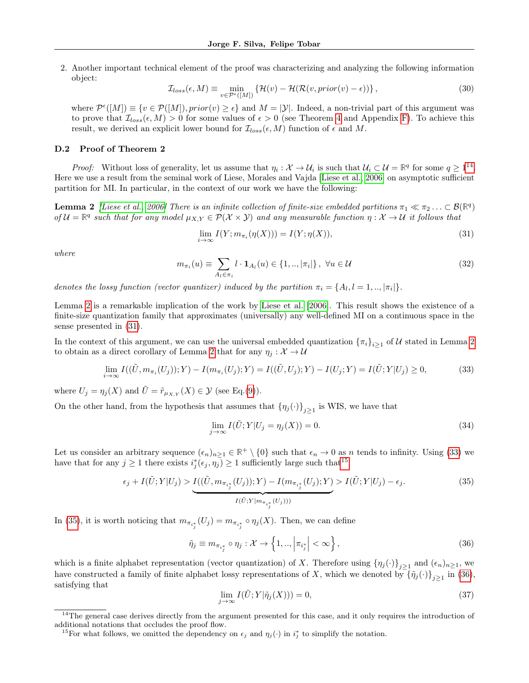2. Another important technical element of the proof was characterizing and analyzing the following information object:

$$
\mathcal{I}_{loss}(\epsilon, M) \equiv \min_{v \in \mathcal{P}^{\epsilon}([M])} \left\{ \mathcal{H}(v) - \mathcal{H}(\mathcal{R}(v, prior(v) - \epsilon)) \right\},\tag{30}
$$

where  $\mathcal{P}^{\epsilon}([M]) \equiv \{v \in \mathcal{P}([M]), prior(v) \geq \epsilon\}$  and  $M = |\mathcal{Y}|$ . Indeed, a non-trivial part of this argument was to prove that  $\mathcal{I}_{loss}(\epsilon, M) > 0$  for some values of  $\epsilon > 0$  (see Theorem [4](#page-14-0) and Appendix [F\)](#page-15-0). To achieve this result, we derived an explicit lower bound for  $\mathcal{I}_{loss}(\epsilon, M)$  function of  $\epsilon$  and M.

#### <span id="page-12-0"></span>D.2 Proof of Theorem 2

Proof: Without loss of generality, let us assume that  $\eta_i : \mathcal{X} \to \mathcal{U}_i$  is such that  $\mathcal{U}_i \subset \mathcal{U} = \mathbb{R}^q$  for some  $q \geq 1^{14}$  $q \geq 1^{14}$  $q \geq 1^{14}$ . Here we use a result from the seminal work of Liese, Morales and Vajda [\[Liese et al., 2006\]](#page-9-9) on asymptotic sufficient partition for MI. In particular, in the context of our work we have the following:

<span id="page-12-2"></span>**Lemma 2** [\[Liese et al., 2006\]](#page-9-9) There is an infinite collection of finite-size embedded partitions  $\pi_1 \ll \pi_2 \ldots \subset \mathcal{B}(\mathbb{R}^q)$ of  $\mathcal{U} = \mathbb{R}^q$  such that for any model  $\mu_{X,Y} \in \mathcal{P}(\mathcal{X} \times \mathcal{Y})$  and any measurable function  $\eta : \mathcal{X} \to \mathcal{U}$  it follows that

<span id="page-12-3"></span>
$$
\lim_{i \to \infty} I(Y; m_{\pi_i}(\eta(X))) = I(Y; \eta(X)), \tag{31}
$$

where

$$
m_{\pi_i}(u) \equiv \sum_{A_l \in \pi_i} l \cdot \mathbf{1}_{A_l}(u) \in \{1, \ldots, |\pi_i|\}, \ \forall u \in \mathcal{U}
$$
\n
$$
(32)
$$

denotes the lossy function (vector quantizer) induced by the partition  $\pi_i = \{A_l, l = 1, ..., |\pi_i|\}.$ 

Lemma [2](#page-12-2) is a remarkable implication of the work by [Liese et al.](#page-9-9) [\[2006\]](#page-9-9). This result shows the existence of a finite-size quantization family that approximates (universally) any well-defined MI on a continuous space in the sense presented in [\(31\)](#page-12-3).

In the context of this argument, we can use the universal embedded quantization  $\{\pi_i\}_{i\geq 1}$  of U stated in Lemma [2](#page-12-2) to obtain as a direct corollary of Lemma [2](#page-12-2) that for any  $\eta_i : \mathcal{X} \to \mathcal{U}$ 

<span id="page-12-4"></span>
$$
\lim_{i \to \infty} I((\tilde{U}, m_{\pi_i}(U_j)); Y) - I(m_{\pi_i}(U_j); Y) = I((\tilde{U}, U_j); Y) - I(U_j; Y) = I(\tilde{U}; Y|U_j) \ge 0,
$$
\n(33)

where  $U_j = \eta_j(X)$  and  $\tilde{U} = \tilde{r}_{\mu_{X,Y}}(X) \in \mathcal{Y}$  (see Eq.[\(9\)](#page-3-1)).

On the other hand, from the hypothesis that assumes that  $\{\eta_j(\cdot)\}_{j\geq 1}$  is WIS, we have that

<span id="page-12-8"></span>
$$
\lim_{j \to \infty} I(\tilde{U}; Y | U_j = \eta_j(X)) = 0.
$$
\n(34)

Let us consider an arbitrary sequence  $(\epsilon_n)_{n\geq 1} \in \mathbb{R}^+ \setminus \{0\}$  such that  $\epsilon_n \to 0$  as n tends to infinity. Using [\(33\)](#page-12-4) we have that for any  $j \geq 1$  there exists  $i_j^*(\epsilon_j, \eta_j) \geq 1$  sufficiently large such that<sup>[15](#page-12-5)</sup>

<span id="page-12-6"></span>
$$
\epsilon_j + I(\tilde{U}; Y|U_j) > \underbrace{I((\tilde{U}, m_{\pi_{i_j^*}}(U_j)); Y) - I(m_{\pi_{i_j^*}}(U_j); Y)}_{I(\tilde{U}; Y|m_{\pi_{i_j^*}}(U_j)))} > I(\tilde{U}; Y|U_j) - \epsilon_j. \tag{35}
$$

In [\(35\)](#page-12-6), it is worth noticing that  $m_{\pi_{i_j^*}}(U_j) = m_{\pi_{i_j^*}} \circ \eta_j(X)$ . Then, we can define

<span id="page-12-7"></span>
$$
\tilde{\eta}_j \equiv m_{\pi_{i_j^*}} \circ \eta_j : \mathcal{X} \to \left\{ 1, \ldots \middle| \pi_{i_j^*} \middle| < \infty \right\},\tag{36}
$$

which is a finite alphabet representation (vector quantization) of X. Therefore using  $\{\eta_j(\cdot)\}_{j\geq 1}$  and  $(\epsilon_n)_{n\geq 1}$ , we have constructed a family of finite alphabet lossy representations of X, which we denoted by  $\{\tilde{\eta}_j(\cdot)\}_{j\geq 1}$  in [\(36\)](#page-12-7), satisfying that

<span id="page-12-9"></span>
$$
\lim_{j \to \infty} I(\tilde{U}; Y | \tilde{\eta}_j(X)) = 0,\tag{37}
$$

<span id="page-12-1"></span><sup>&</sup>lt;sup>14</sup>The general case derives directly from the argument presented for this case, and it only requires the introduction of additional notations that occludes the proof flow.

<span id="page-12-5"></span><sup>&</sup>lt;sup>15</sup>For what follows, we omitted the dependency on  $\epsilon_j$  and  $\eta_j(\cdot)$  in  $i_j^*$  to simplify the notation.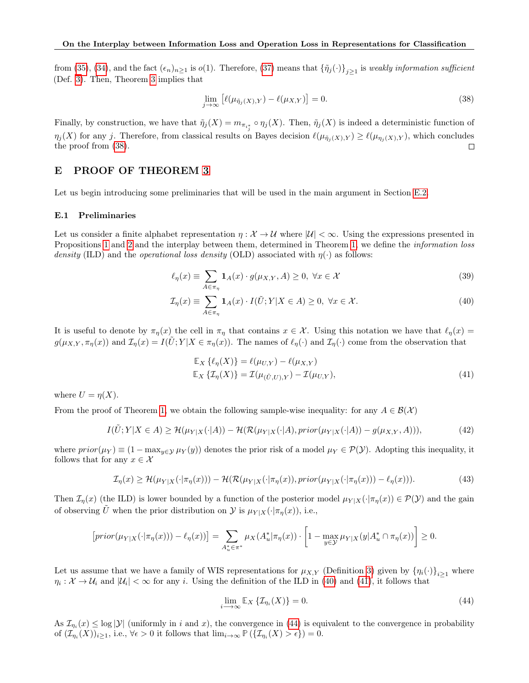from [\(35\)](#page-12-6), [\(34\)](#page-12-8), and the fact  $(\epsilon_n)_{n\geq 1}$  is  $o(1)$ . Therefore, [\(37\)](#page-12-9) means that  $\{\tilde{\eta}_j(\cdot)\}_{j\geq 1}$  is weakly information sufficient (Def. [3\)](#page-3-0). Then, Theorem [3](#page-11-2) implies that

<span id="page-13-1"></span>
$$
\lim_{j \to \infty} \left[ \ell(\mu_{\tilde{\eta}_j(X),Y}) - \ell(\mu_{X,Y}) \right] = 0. \tag{38}
$$

Finally, by construction, we have that  $\tilde{\eta}_j(X) = m_{\pi_{i_j^*}} \circ \eta_j(X)$ . Then,  $\tilde{\eta}_j(X)$  is indeed a deterministic function of  $\eta_j(X)$  for any j. Therefore, from classical results on Bayes decision  $\ell(\mu_{\tilde{\eta}_j(X),Y}) \geq \ell(\mu_{\eta_j(X),Y})$ , which concludes the proof from [\(38\)](#page-13-1).  $\Box$ 

### <span id="page-13-0"></span>E PROOF OF THEOREM [3](#page-11-2)

Let us begin introducing some preliminaries that will be used in the main argument in Section [E.2.](#page-14-1)

#### <span id="page-13-7"></span>E.1 Preliminaries

Let us consider a finite alphabet representation  $\eta : \mathcal{X} \to \mathcal{U}$  where  $|\mathcal{U}| < \infty$ . Using the expressions presented in Propositions [1](#page-3-7) and [2](#page-4-5) and the interplay between them, determined in Theorem [1,](#page-4-0) we define the information loss density (ILD) and the *operational loss density* (OLD) associated with  $\eta(\cdot)$  as follows:

$$
\ell_{\eta}(x) \equiv \sum_{A \in \pi_{\eta}} \mathbf{1}_{A}(x) \cdot g(\mu_{X,Y}, A) \ge 0, \ \forall x \in \mathcal{X}
$$
\n(39)

$$
\mathcal{I}_{\eta}(x) \equiv \sum_{A \in \pi_{\eta}} \mathbf{1}_{A}(x) \cdot I(\tilde{U}; Y | X \in A) \ge 0, \ \forall x \in \mathcal{X}.
$$
 (40)

It is useful to denote by  $\pi_{\eta}(x)$  the cell in  $\pi_{\eta}$  that contains  $x \in \mathcal{X}$ . Using this notation we have that  $\ell_{\eta}(x) =$  $g(\mu_{X,Y}, \pi_{\eta}(x))$  and  $\mathcal{I}_{\eta}(x) = I(U;Y|X \in \pi_{\eta}(x))$ . The names of  $\ell_{\eta}(\cdot)$  and  $\mathcal{I}_{\eta}(\cdot)$  come from the observation that

<span id="page-13-6"></span><span id="page-13-3"></span><span id="page-13-2"></span>
$$
\mathbb{E}_X \left\{ \ell_\eta(X) \right\} = \ell(\mu_{U,Y}) - \ell(\mu_{X,Y})
$$
\n
$$
\mathbb{E}_X \left\{ \mathcal{I}_\eta(X) \right\} = \mathcal{I}(\mu_{(\tilde{U},U),Y}) - \mathcal{I}(\mu_{U,Y}), \tag{41}
$$

where  $U = \eta(X)$ .

From the proof of Theorem [1,](#page-4-0) we obtain the following sample-wise inequality: for any  $A \in \mathcal{B}(\mathcal{X})$ 

$$
I(\tilde{U};Y|X \in A) \ge \mathcal{H}(\mu_{Y|X}(\cdot|A)) - \mathcal{H}(\mathcal{R}(\mu_{Y|X}(\cdot|A),prior(\mu_{Y|X}(\cdot|A)) - g(\mu_{X,Y}, A))),
$$
\n(42)

where  $prior(\mu_Y) \equiv (1 - \max_{y \in Y} \mu_Y(y))$  denotes the prior risk of a model  $\mu_Y \in \mathcal{P}(Y)$ . Adopting this inequality, it follows that for any  $x \in \mathcal{X}$ 

$$
\mathcal{I}_{\eta}(x) \ge \mathcal{H}(\mu_{Y|X}(\cdot | \pi_{\eta}(x))) - \mathcal{H}(\mathcal{R}(\mu_{Y|X}(\cdot | \pi_{\eta}(x)), prior(\mu_{Y|X}(\cdot | \pi_{\eta}(x))) - \ell_{\eta}(x))). \tag{43}
$$

Then  $\mathcal{I}_{\eta}(x)$  (the ILD) is lower bounded by a function of the posterior model  $\mu_{Y|X}(\cdot | \pi_{\eta}(x)) \in \mathcal{P}(Y)$  and the gain of observing U when the prior distribution on  $\mathcal Y$  is  $\mu_{Y|X}(\cdot | \pi_{\eta}(x))$ , i.e.,

$$
\left[ prior(\mu_{Y|X}(\cdot|\pi_{\eta}(x))) - \ell_{\eta}(x))\right] = \sum_{A_u^* \in \pi^*} \mu_X(A_u^*|\pi_{\eta}(x)) \cdot \left[1 - \max_{y \in \mathcal{Y}} \mu_{Y|X}(y|A_u^* \cap \pi_{\eta}(x))\right] \ge 0.
$$

Let us assume that we have a family of WIS representations for  $\mu_{X,Y}$  (Definition [3\)](#page-3-0) given by  $\{\eta_i(\cdot)\}_{i\geq 1}$  where  $\eta_i: \mathcal{X} \to \mathcal{U}_i$  and  $|\mathcal{U}_i| < \infty$  for any i. Using the definition of the ILD in [\(40\)](#page-13-2) and [\(41\)](#page-13-3), it follows that

<span id="page-13-5"></span><span id="page-13-4"></span>
$$
\lim_{i \to \infty} \mathbb{E}_X \left\{ \mathcal{I}_{\eta_i}(X) \right\} = 0. \tag{44}
$$

As  $\mathcal{I}_{\eta_i}(x) \leq \log |\mathcal{Y}|$  (uniformly in i and x), the convergence in [\(44\)](#page-13-4) is equivalent to the convergence in probability of  $(\mathcal{I}_{\eta_i}(X))_{i\geq 1}$ , i.e.,  $\forall \epsilon > 0$  it follows that  $\lim_{i\to\infty} \mathbb{P}(\{\mathcal{I}_{\eta_i}(X) > \epsilon\}) = 0$ .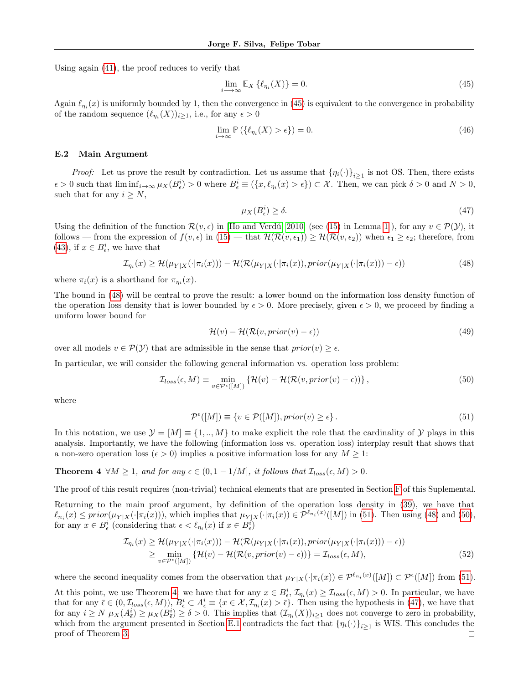Using again [\(41\)](#page-13-3), the proof reduces to verify that

<span id="page-14-2"></span>
$$
\lim_{i \to \infty} \mathbb{E}_X \left\{ \ell_{\eta_i}(X) \right\} = 0. \tag{45}
$$

Again  $\ell_{\eta_i}(x)$  is uniformly bounded by 1, then the convergence in [\(45\)](#page-14-2) is equivalent to the convergence in probability of the random sequence  $(\ell_{\eta_i}(X))_{i\geq 1}$ , i.e., for any  $\epsilon > 0$ 

$$
\lim_{i \to \infty} \mathbb{P}\left(\{\ell_{\eta_i}(X) > \epsilon\}\right) = 0. \tag{46}
$$

#### <span id="page-14-1"></span>E.2 Main Argument

*Proof:* Let us prove the result by contradiction. Let us assume that  $\{\eta_i(\cdot)\}_{i\geq 1}$  is not OS. Then, there exists  $\epsilon > 0$  such that  $\liminf_{i \to \infty} \mu_X(B_\epsilon^i) > 0$  where  $B_\epsilon^i \equiv (\{x, \ell_{\eta_i}(x) > \epsilon\}) \subset \mathcal{X}$ . Then, we can pick  $\delta > 0$  and  $N > 0$ , such that for any  $i \geq N$ ,

<span id="page-14-6"></span><span id="page-14-3"></span>
$$
\mu_X(B_\epsilon^i) \ge \delta. \tag{47}
$$

Using the definition of the function  $\mathcal{R}(v, \epsilon)$  in [\[Ho and Verdú, 2010\]](#page-9-8) (see [\(15\)](#page-4-9) in Lemma [1](#page-4-8)), for any  $v \in \mathcal{P}(\mathcal{Y})$ , it follows — from the expression of  $f(v, \epsilon)$  in  $(15)$  — that  $\mathcal{H}(\mathcal{R}(v, \epsilon_1)) \geq \mathcal{H}(\mathcal{R}(v, \epsilon_2))$  when  $\epsilon_1 \geq \epsilon_2$ ; therefore, from [\(43\)](#page-13-5), if  $x \in B_{\epsilon}^i$ , we have that

$$
\mathcal{I}_{\eta_i}(x) \ge \mathcal{H}(\mu_{Y|X}(\cdot|\pi_i(x))) - \mathcal{H}(\mathcal{R}(\mu_{Y|X}(\cdot|\pi_i(x)), prior(\mu_{Y|X}(\cdot|\pi_i(x))) - \epsilon))
$$
\n(48)

where  $\pi_i(x)$  is a shorthand for  $\pi_{\eta_i}(x)$ .

The bound in [\(48\)](#page-14-3) will be central to prove the result: a lower bound on the information loss density function of the operation loss density that is lower bounded by  $\epsilon > 0$ . More precisely, given  $\epsilon > 0$ , we proceed by finding a uniform lower bound for

<span id="page-14-5"></span><span id="page-14-4"></span>
$$
\mathcal{H}(v) - \mathcal{H}(\mathcal{R}(v, prior(v) - \epsilon))\tag{49}
$$

over all models  $v \in \mathcal{P}(\mathcal{Y})$  that are admissible in the sense that  $prior(v) \geq \epsilon$ .

In particular, we will consider the following general information vs. operation loss problem:

$$
\mathcal{I}_{loss}(\epsilon, M) \equiv \min_{v \in \mathcal{P}^{\epsilon}([M])} \left\{ \mathcal{H}(v) - \mathcal{H}(\mathcal{R}(v, prior(v) - \epsilon)) \right\},\tag{50}
$$

where

<span id="page-14-0"></span>
$$
\mathcal{P}^{\epsilon}([M]) \equiv \{ v \in \mathcal{P}([M]), prior(v) \ge \epsilon \}.
$$
\n(51)

In this notation, we use  $\mathcal{Y} = [M] \equiv \{1, ..., M\}$  to make explicit the role that the cardinality of Y plays in this analysis. Importantly, we have the following (information loss vs. operation loss) interplay result that shows that a non-zero operation loss ( $\epsilon > 0$ ) implies a positive information loss for any  $M \geq 1$ :

**Theorem 4**  $\forall M \geq 1$ , and for any  $\epsilon \in (0, 1 - 1/M]$ , it follows that  $\mathcal{I}_{loss}(\epsilon, M) > 0$ .

The proof of this result requires (non-trivial) technical elements that are presented in Section [F](#page-15-0) of this Suplemental.

Returning to the main proof argument, by definition of the operation loss density in [\(39\)](#page-13-6), we have that  $\ell_{n_i}(x) \le prior(\mu_{Y|X}(\cdot|\pi_i(x))),$  which implies that  $\mu_{Y|X}(\cdot|\pi_i(x)) \in \mathcal{P}^{\ell_{n_i}(x)}([M])$  in [\(51\)](#page-14-4). Then using [\(48\)](#page-14-3) and [\(50\)](#page-14-5), for any  $x \in B_{\epsilon}^i$  (considering that  $\epsilon < \ell_{\eta_i}(x)$  if  $x \in B_{\epsilon}^i$ )

$$
\mathcal{I}_{\eta_i}(x) \ge \mathcal{H}(\mu_{Y|X}(\cdot|\pi_i(x))) - \mathcal{H}(\mathcal{R}(\mu_{Y|X}(\cdot|\pi_i(x)), prior(\mu_{Y|X}(\cdot|\pi_i(x))) - \epsilon))
$$
\n
$$
\ge \min_{v \in \mathcal{P}^{\epsilon}([M])} \{ \mathcal{H}(v) - \mathcal{H}(\mathcal{R}(v, prior(v) - \epsilon)) \} = \mathcal{I}_{loss}(\epsilon, M),
$$
\n(52)

where the second inequality comes from the observation that  $\mu_{Y|X}(\cdot | \pi_i(x)) \in \mathcal{P}^{\ell_{n_i}(x)}([M]) \subset \mathcal{P}^{\epsilon}([M])$  from [\(51\)](#page-14-4).

At this point, we use Theorem [4:](#page-14-0) we have that for any  $x \in B_{\epsilon}^{i}$ ,  $\mathcal{I}_{\eta_i}(x) \geq \mathcal{I}_{loss}(\epsilon, M) > 0$ . In particular, we have that for any  $\bar{\epsilon} \in (0, \mathcal{I}_{loss}(\epsilon, M)), B_{\epsilon}^i \subset A_{\bar{\epsilon}}^i \equiv \{x \in \mathcal{X}, \mathcal{I}_{\eta_i}(x) > \bar{\epsilon}\}.$  Then using the hypothesis in [\(47\)](#page-14-6), we have that for any  $i \geq N$   $\mu_X(A^i_{\bar{\epsilon}}) \geq \mu_X(B^i_{\bar{\epsilon}}) \geq \delta > 0$ . This implies that  $(\mathcal{I}_{\eta_i}(X))_{i \geq 1}$  does not converge to zero in probability, which from the argument presented in Section [E.1](#page-13-7) contradicts the fact that  $\{\eta_i(\cdot)\}_{i\geq 1}$  is WIS. This concludes the proof of Theorem [3.](#page-11-2) $\Box$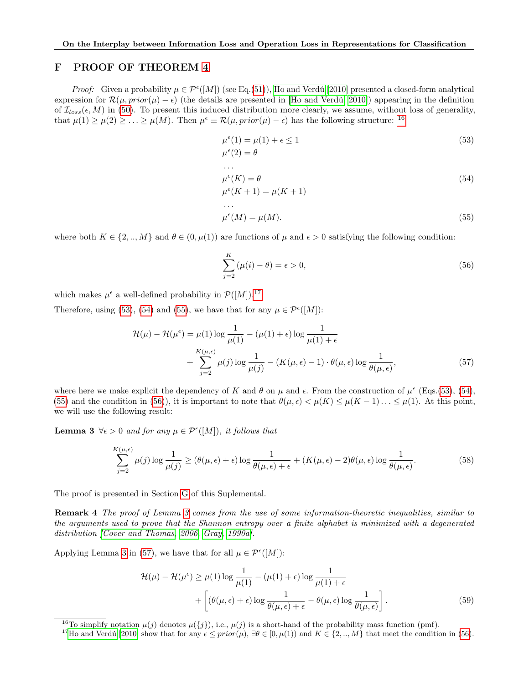### <span id="page-15-0"></span>F PROOF OF THEOREM [4](#page-14-0)

*Proof:* Given a probability  $\mu \in \mathcal{P}^{\epsilon}([M])$  (see Eq.[\(51\)](#page-14-4)), [Ho and Verdú](#page-9-8) [\[2010\]](#page-9-8) presented a closed-form analytical expression for  $\mathcal{R}(\mu, prior(\mu) - \epsilon)$  (the details are presented in [\[Ho and Verdú, 2010\]](#page-9-8)) appearing in the definition of  $\mathcal{I}_{loss}(\epsilon, M)$  in [\(50\)](#page-14-5). To present this induced distribution more clearly, we assume, without loss of generality, that  $\mu(1) \geq \mu(2) \geq \ldots \geq \mu(M)$ . Then  $\mu^{\epsilon} \equiv \mathcal{R}(\mu, prior(\mu) - \epsilon)$  has the following structure: <sup>[16](#page-15-1)</sup>

<span id="page-15-3"></span>
$$
\mu^{\epsilon}(1) = \mu(1) + \epsilon \le 1
$$
  

$$
\mu^{\epsilon}(2) = \theta
$$
 (53)

<span id="page-15-5"></span><span id="page-15-4"></span>
$$
\mu^{\epsilon}(K) = \theta
$$
  
\n
$$
\mu^{\epsilon}(K+1) = \mu(K+1)
$$
  
\n...  
\n
$$
\mu^{\epsilon}(M) = \mu(M).
$$
\n(55)

where both  $K \in \{2, ..., M\}$  and  $\theta \in (0, \mu(1))$  are functions of  $\mu$  and  $\epsilon > 0$  satisfying the following condition:

<span id="page-15-8"></span><span id="page-15-6"></span>
$$
\sum_{j=2}^{K} (\mu(i) - \theta) = \epsilon > 0,
$$
\n(56)

which makes  $\mu^{\epsilon}$  a well-defined probability in  $\mathcal{P}([M])$ .<sup>[17](#page-15-2)</sup>

Therefore, using [\(53\)](#page-15-3), [\(54\)](#page-15-4) and [\(55\)](#page-15-5), we have that for any  $\mu \in \mathcal{P}^{e}([M])$ :

$$
\mathcal{H}(\mu) - \mathcal{H}(\mu^{\epsilon}) = \mu(1) \log \frac{1}{\mu(1)} - (\mu(1) + \epsilon) \log \frac{1}{\mu(1) + \epsilon} + \sum_{j=2}^{K(\mu,\epsilon)} \mu(j) \log \frac{1}{\mu(j)} - (K(\mu,\epsilon) - 1) \cdot \theta(\mu,\epsilon) \log \frac{1}{\theta(\mu,\epsilon)},
$$
(57)

where here we make explicit the dependency of K and  $\theta$  on  $\mu$  and  $\epsilon$ . From the construction of  $\mu^{\epsilon}$  (Eqs.[\(53\)](#page-15-3), [\(54\)](#page-15-4), [\(55\)](#page-15-5) and the condition in [\(56\)](#page-15-6)), it is important to note that  $\theta(\mu, \epsilon) < \mu(K) \leq \mu(K-1) \ldots \leq \mu(1)$ . At this point, we will use the following result:

**Lemma 3**  $\forall \epsilon > 0$  and for any  $\mu \in \mathcal{P}^{\epsilon}([M])$ , it follows that

<span id="page-15-7"></span>
$$
\sum_{j=2}^{K(\mu,\epsilon)} \mu(j) \log \frac{1}{\mu(j)} \ge (\theta(\mu,\epsilon) + \epsilon) \log \frac{1}{\theta(\mu,\epsilon) + \epsilon} + (K(\mu,\epsilon) - 2)\theta(\mu,\epsilon) \log \frac{1}{\theta(\mu,\epsilon)}.
$$
(58)

The proof is presented in Section [G](#page-17-0) of this Suplemental.

Remark 4 The proof of Lemma [3](#page-15-7) comes from the use of some information-theoretic inequalities, similar to the arguments used to prove that the Shannon entropy over a finite alphabet is minimized with a degenerated distribution [\[Cover and Thomas, 2006,](#page-8-3) [Gray, 1990a\]](#page-9-0).

Applying Lemma [3](#page-15-7) in [\(57\)](#page-15-8), we have that for all  $\mu \in \mathcal{P}^{\epsilon}([M])$ :

<span id="page-15-9"></span>
$$
\mathcal{H}(\mu) - \mathcal{H}(\mu^{\epsilon}) \ge \mu(1) \log \frac{1}{\mu(1)} - (\mu(1) + \epsilon) \log \frac{1}{\mu(1) + \epsilon} + \left[ (\theta(\mu, \epsilon) + \epsilon) \log \frac{1}{\theta(\mu, \epsilon) + \epsilon} - \theta(\mu, \epsilon) \log \frac{1}{\theta(\mu, \epsilon)} \right].
$$
\n(59)

<span id="page-15-1"></span><sup>&</sup>lt;sup>16</sup>To simplify notation  $\mu(j)$  denotes  $\mu({j})$ , i.e.,  $\mu(j)$  is a short-hand of the probability mass function (pmf).

<span id="page-15-2"></span><sup>&</sup>lt;sup>17</sup>[Ho and Verdú](#page-9-8) [\[2010\]](#page-9-8) show that for any  $\epsilon \le prior(\mu)$ ,  $\exists \theta \in [0, \mu(1))$  and  $K \in \{2, ..., M\}$  that meet the condition in [\(56\)](#page-15-6).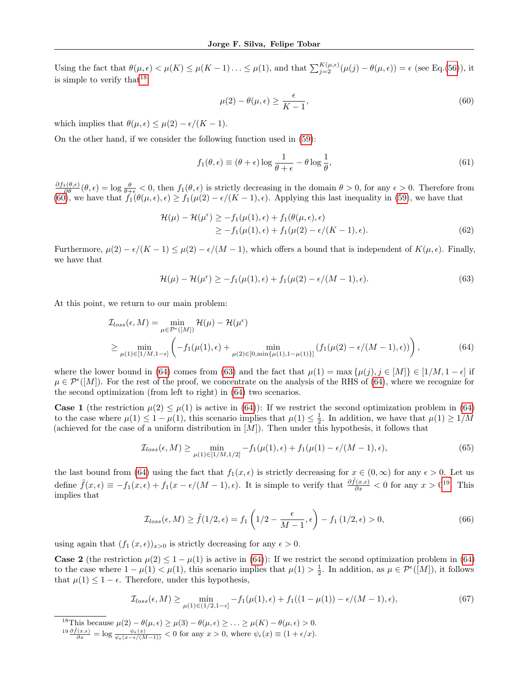Using the fact that  $\theta(\mu,\epsilon) < \mu(K) \leq \mu(K-1)\ldots \leq \mu(1)$ , and that  $\sum_{j=2}^{K(\mu,\epsilon)} (\mu(j) - \theta(\mu,\epsilon)) = \epsilon$  (see Eq.[\(56\)](#page-15-6)), it is simple to verify that  $18$ 

<span id="page-16-1"></span>
$$
\mu(2) - \theta(\mu, \epsilon) \ge \frac{\epsilon}{K - 1},\tag{60}
$$

which implies that  $\theta(\mu, \epsilon) \leq \mu(2) - \epsilon/(K - 1)$ .

On the other hand, if we consider the following function used in [\(59\)](#page-15-9):

<span id="page-16-3"></span>
$$
f_1(\theta, \epsilon) \equiv (\theta + \epsilon) \log \frac{1}{\theta + \epsilon} - \theta \log \frac{1}{\theta},\tag{61}
$$

 $\frac{\partial f_1(\theta,\epsilon)}{\partial \theta}(\theta,\epsilon) = \log \frac{\theta}{\theta+\epsilon} < 0$ , then  $f_1(\theta,\epsilon)$  is strictly decreasing in the domain  $\theta > 0$ , for any  $\epsilon > 0$ . Therefore from [\(60\)](#page-16-1), we have that  $f_1(\theta(\mu, \epsilon), \epsilon) \ge f_1(\mu(2) - \epsilon/(K - 1), \epsilon)$ . Applying this last inequality in [\(59\)](#page-15-9), we have that

$$
\mathcal{H}(\mu) - \mathcal{H}(\mu^{\epsilon}) \ge -f_1(\mu(1), \epsilon) + f_1(\theta(\mu, \epsilon), \epsilon)
$$
  
\n
$$
\ge -f_1(\mu(1), \epsilon) + f_1(\mu(2) - \epsilon/(K - 1), \epsilon).
$$
 (62)

Furthermore,  $\mu(2) - \epsilon/(K-1) \leq \mu(2) - \epsilon/(M-1)$ , which offers a bound that is independent of  $K(\mu, \epsilon)$ . Finally, we have that

<span id="page-16-2"></span>
$$
\mathcal{H}(\mu) - \mathcal{H}(\mu^{\epsilon}) \ge -f_1(\mu(1), \epsilon) + f_1(\mu(2) - \epsilon/(M - 1), \epsilon). \tag{63}
$$

At this point, we return to our main problem:

$$
\mathcal{I}_{loss}(\epsilon, M) = \min_{\mu \in \mathcal{P}^{\epsilon}([M])} \mathcal{H}(\mu) - \mathcal{H}(\mu^{\epsilon})
$$
\n
$$
\geq \min_{\mu(1) \in [1/M, 1-\epsilon]} \left( -f_1(\mu(1), \epsilon) + \min_{\mu(2) \in [0, \min\{\mu(1), 1-\mu(1)\}]} (f_1(\mu(2) - \epsilon/(M-1), \epsilon)) \right),
$$
\n(64)

where the lower bound in [\(64\)](#page-16-2) comes from [\(63\)](#page-16-3) and the fact that  $\mu(1) = \max{\mu(j), j \in [M]} \in [1/M, 1 - \epsilon]$  if  $\mu \in \mathcal{P}^{\epsilon}([M])$ . For the rest of the proof, we concentrate on the analysis of the RHS of [\(64\)](#page-16-2), where we recognize for the second optimization (from left to right) in [\(64\)](#page-16-2) two scenarios.

**Case 1** (the restriction  $\mu(2) \leq \mu(1)$  is active in [\(64\)](#page-16-2)): If we restrict the second optimization problem in (64) to the case where  $\mu(1) \leq 1 - \mu(1)$ , this scenario implies that  $\mu(1) \leq \frac{1}{2}$ . In addition, we have that  $\mu(1) \geq 1/M$ (achieved for the case of a uniform distribution in  $[M]$ ). Then under this hypothesis, it follows that

$$
\mathcal{I}_{loss}(\epsilon, M) \ge \min_{\mu(1) \in [1/M, 1/2]} -f_1(\mu(1), \epsilon) + f_1(\mu(1) - \epsilon/(M - 1), \epsilon),\tag{65}
$$

the last bound from [\(64\)](#page-16-2) using the fact that  $f_1(x, \epsilon)$  is strictly decreasing for  $x \in (0, \infty)$  for any  $\epsilon > 0$ . Let us define  $\tilde{f}(x,\epsilon) \equiv -f_1(x,\epsilon) + f_1(x-\epsilon/(M-1),\epsilon)$ . It is simple to verify that  $\frac{\partial \tilde{f}(x,\epsilon)}{\partial x} < 0$  for any  $x > 0^{19}$  $x > 0^{19}$  $x > 0^{19}$ . This implies that

<span id="page-16-5"></span>
$$
\mathcal{I}_{loss}(\epsilon, M) \ge \tilde{f}(1/2, \epsilon) = f_1\left(1/2 - \frac{\epsilon}{M-1}, \epsilon\right) - f_1\left(1/2, \epsilon\right) > 0,\tag{66}
$$

using again that  $(f_1(x, \epsilon))_{x>0}$  is strictly decreasing for any  $\epsilon > 0$ .

**Case 2** (the restriction  $\mu(2) \leq 1 - \mu(1)$  is active in [\(64\)](#page-16-2)): If we restrict the second optimization problem in (64) to the case where  $1 - \mu(1) < \mu(1)$ , this scenario implies that  $\mu(1) > \frac{1}{2}$ . In addition, as  $\mu \in \mathcal{P}^{\epsilon}([M])$ , it follows that  $\mu(1) \leq 1 - \epsilon$ . Therefore, under this hypothesis,

$$
\mathcal{I}_{loss}(\epsilon, M) \ge \min_{\mu(1) \in (1/2, 1-\epsilon]} -f_1(\mu(1), \epsilon) + f_1((1-\mu(1)) - \epsilon/(M-1), \epsilon), \tag{67}
$$

<span id="page-16-0"></span><sup>&</sup>lt;sup>18</sup>This because  $\mu(2) - \theta(\mu, \epsilon) \ge \mu(3) - \theta(\mu, \epsilon) \ge \ldots \ge \mu(K) - \theta(\mu, \epsilon) > 0.$ 

<span id="page-16-4"></span> $\frac{\partial \tilde{f}(x,\epsilon)}{\partial x} = \log \frac{\psi_{\epsilon}(x)}{\psi_{\epsilon}(x-\epsilon/(M-1))} < 0$  for any  $x > 0$ , where  $\psi_{\epsilon}(x) \equiv (1+\epsilon/x)$ .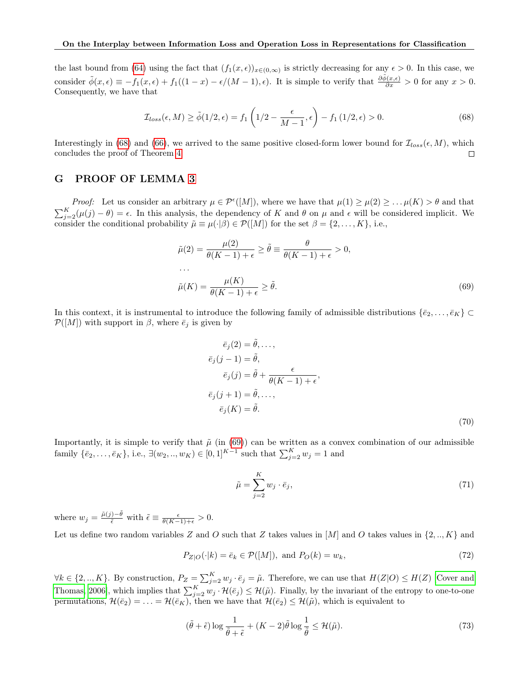the last bound from [\(64\)](#page-16-2) using the fact that  $(f_1(x, \epsilon))_{x \in (0, \infty)}$  is strictly decreasing for any  $\epsilon > 0$ . In this case, we consider  $\tilde{\phi}(x,\epsilon) \equiv -f_1(x,\epsilon) + f_1((1-x) - \epsilon/(M-1), \epsilon)$ . It is simple to verify that  $\frac{\partial \tilde{\phi}(x,\epsilon)}{\partial x} > 0$  for any  $x > 0$ . Consequently, we have that

$$
\mathcal{I}_{loss}(\epsilon, M) \ge \tilde{\phi}(1/2, \epsilon) = f_1\left(1/2 - \frac{\epsilon}{M-1}, \epsilon\right) - f_1\left(1/2, \epsilon\right) > 0. \tag{68}
$$

Interestingly in [\(68\)](#page-17-1) and [\(66\)](#page-16-5), we arrived to the same positive closed-form lower bound for  $\mathcal{I}_{loss}(\epsilon, M)$ , which concludes the proof of Theorem [4.](#page-14-0)  $\Box$ 

### <span id="page-17-0"></span>G PROOF OF LEMMA [3](#page-15-7)

*Proof:* Let us consider an arbitrary  $\mu \in \mathcal{P}^{\epsilon}([M])$ , where we have that  $\mu(1) \geq \mu(2) \geq \ldots \mu(K) > \theta$  and that  $\sum_{j=2}^{K}(\mu(j)-\theta)=\epsilon$ . In this analysis, the dependency of K and  $\theta$  on  $\mu$  and  $\epsilon$  will be considered implicit. We consider the conditional probability  $\tilde{\mu} \equiv \mu(\cdot|\beta) \in \mathcal{P}([M])$  for the set  $\beta = \{2, ..., K\}$ , i.e.,

<span id="page-17-1"></span>
$$
\tilde{\mu}(2) = \frac{\mu(2)}{\theta(K-1) + \epsilon} \ge \tilde{\theta} \equiv \frac{\theta}{\theta(K-1) + \epsilon} > 0,
$$
  
...\n
$$
\tilde{\mu}(K) = \frac{\mu(K)}{\theta(K-1) + \epsilon} \ge \tilde{\theta}.
$$
\n(69)

In this context, it is instrumental to introduce the following family of admissible distributions  $\{\bar{e}_2, \ldots, \bar{e}_K\}$  $\mathcal{P}([M])$  with support in  $\beta$ , where  $\bar{e}_i$  is given by

<span id="page-17-2"></span>
$$
\bar{e}_j(2) = \tilde{\theta}, \dots,
$$
  
\n
$$
\bar{e}_j(j-1) = \tilde{\theta},
$$
  
\n
$$
\bar{e}_j(j) = \tilde{\theta} + \frac{\epsilon}{\theta(K-1) + \epsilon},
$$
  
\n
$$
\bar{e}_j(j+1) = \tilde{\theta}, \dots,
$$
  
\n
$$
\bar{e}_j(K) = \tilde{\theta}.
$$
\n(70)

Importantly, it is simple to verify that  $\tilde{\mu}$  (in [\(69\)](#page-17-2)) can be written as a convex combination of our admissible family  $\{\bar{e}_2, \ldots, \bar{e}_K\}$ , i.e.,  $\exists (w_2, \ldots, w_K) \in [0, 1]^{K-1}$  such that  $\sum_{j=2}^K w_j = 1$  and

<span id="page-17-3"></span>
$$
\tilde{\mu} = \sum_{j=2}^{K} w_j \cdot \bar{e}_j,\tag{71}
$$

where  $w_j = \frac{\tilde{\mu}(j) - \tilde{\theta}}{\tilde{\epsilon}}$  with  $\tilde{\epsilon} \equiv \frac{\epsilon}{\theta(K-1) + \epsilon} > 0$ .

Let us define two random variables Z and O such that Z takes values in  $[M]$  and O takes values in  $\{2, ..., K\}$  and

$$
P_{Z|O}(\cdot|k) = \bar{e}_k \in \mathcal{P}([M]), \text{ and } P_O(k) = w_k,
$$
\n
$$
(72)
$$

 $\forall k \in \{2, ..., K\}$ . By construction,  $P_Z = \sum_{j=2}^K w_j \cdot \bar{e}_j = \tilde{\mu}$ . Therefore, we can use that  $H(Z|O) \leq H(Z)$  [\[Cover and](#page-8-3) [Thomas, 2006\]](#page-8-3), which implies that  $\sum_{j=2}^{K} w_j \cdot \mathcal{H}(\bar{e}_j) \leq \mathcal{H}(\tilde{\mu})$ . Finally, by the invariant of the entropy to one-to-one permutations,  $\mathcal{H}(\bar{e}_2) = \ldots = \mathcal{H}(\bar{e}_K)$ , then we have that  $\mathcal{H}(\bar{e}_2) \leq \mathcal{H}(\tilde{\mu})$ , which is equivalent to

$$
(\tilde{\theta} + \tilde{\epsilon}) \log \frac{1}{\tilde{\theta} + \tilde{\epsilon}} + (K - 2)\tilde{\theta} \log \frac{1}{\tilde{\theta}} \le \mathcal{H}(\tilde{\mu}).
$$
\n(73)